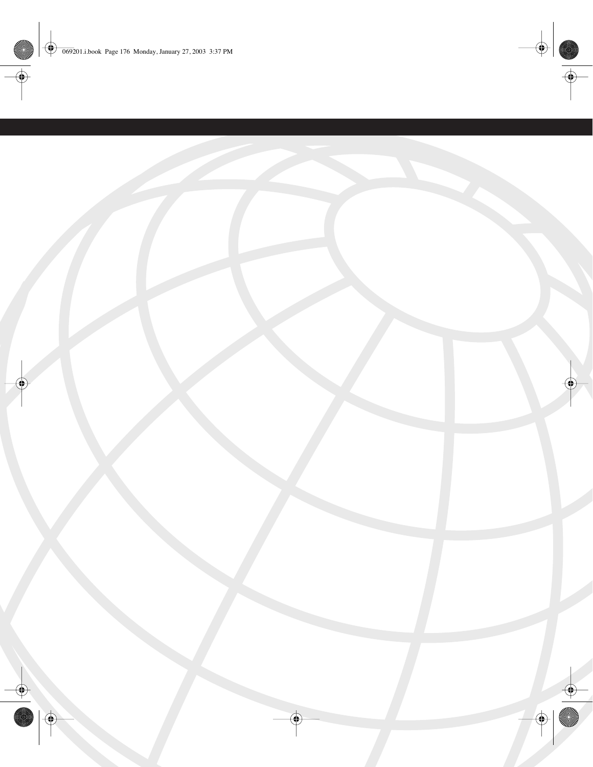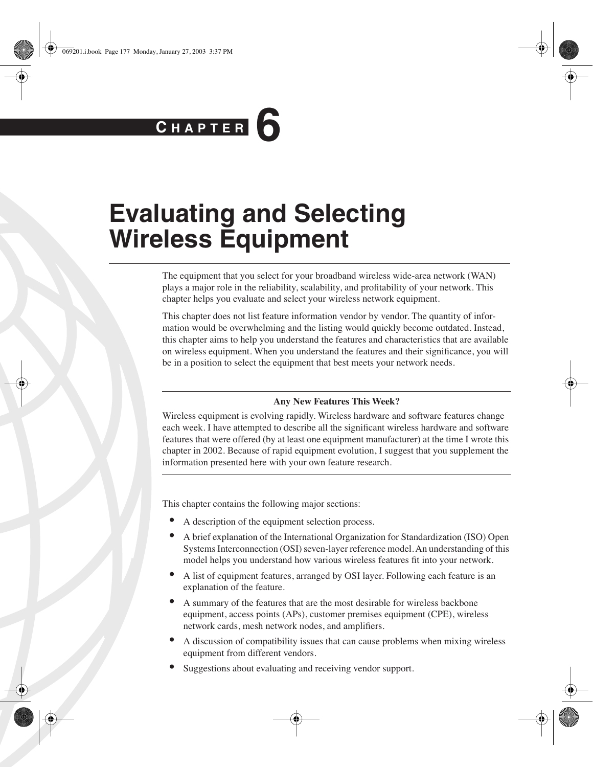# **C H <sup>A</sup> <sup>P</sup> <sup>T</sup> <sup>E</sup> <sup>R</sup> 6**

## **Evaluating and Selecting Wireless Equipment**

The equipment that you select for your broadband wireless wide-area network (WAN) plays a major role in the reliability, scalability, and profitability of your network. This chapter helps you evaluate and select your wireless network equipment.

This chapter does not list feature information vendor by vendor. The quantity of information would be overwhelming and the listing would quickly become outdated. Instead, this chapter aims to help you understand the features and characteristics that are available on wireless equipment. When you understand the features and their significance, you will be in a position to select the equipment that best meets your network needs.

#### **Any New Features This Week?**

Wireless equipment is evolving rapidly. Wireless hardware and software features change each week. I have attempted to describe all the significant wireless hardware and software features that were offered (by at least one equipment manufacturer) at the time I wrote this chapter in 2002. Because of rapid equipment evolution, I suggest that you supplement the information presented here with your own feature research.

This chapter contains the following major sections:

- A description of the equipment selection process.
- A brief explanation of the International Organization for Standardization (ISO) Open Systems Interconnection (OSI) seven-layer reference model. An understanding of this model helps you understand how various wireless features fit into your network.
- A list of equipment features, arranged by OSI layer. Following each feature is an explanation of the feature.
- A summary of the features that are the most desirable for wireless backbone equipment, access points (APs), customer premises equipment (CPE), wireless network cards, mesh network nodes, and amplifiers.
- A discussion of compatibility issues that can cause problems when mixing wireless equipment from different vendors.
- Suggestions about evaluating and receiving vendor support.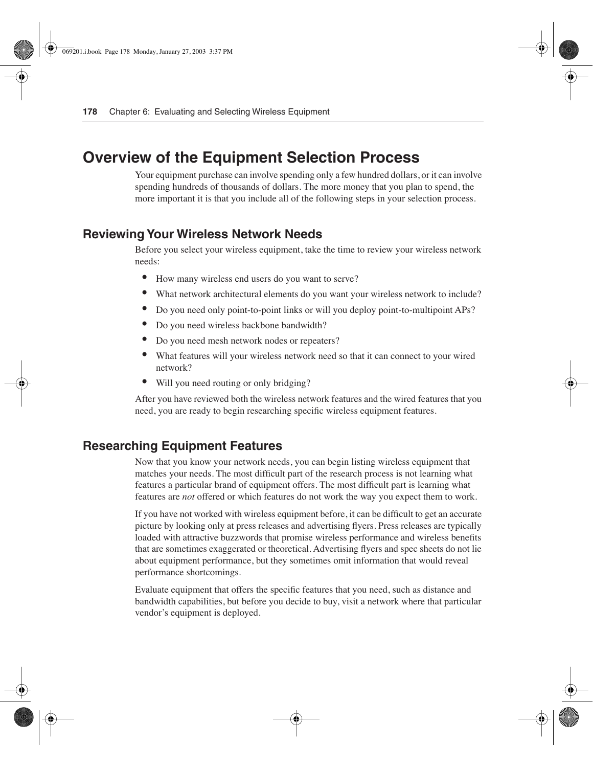## **Overview of the Equipment Selection Process**

Your equipment purchase can involve spending only a few hundred dollars, or it can involve spending hundreds of thousands of dollars. The more money that you plan to spend, the more important it is that you include all of the following steps in your selection process.

## **Reviewing Your Wireless Network Needs**

Before you select your wireless equipment, take the time to review your wireless network needs:

- How many wireless end users do you want to serve?
- What network architectural elements do you want your wireless network to include?
- Do you need only point-to-point links or will you deploy point-to-multipoint APs?
- Do you need wireless backbone bandwidth?
- Do you need mesh network nodes or repeaters?
- What features will your wireless network need so that it can connect to your wired network?
- Will you need routing or only bridging?

After you have reviewed both the wireless network features and the wired features that you need, you are ready to begin researching specific wireless equipment features.

## **Researching Equipment Features**

Now that you know your network needs, you can begin listing wireless equipment that matches your needs. The most difficult part of the research process is not learning what features a particular brand of equipment offers. The most difficult part is learning what features are *not* offered or which features do not work the way you expect them to work.

If you have not worked with wireless equipment before, it can be difficult to get an accurate picture by looking only at press releases and advertising flyers. Press releases are typically loaded with attractive buzzwords that promise wireless performance and wireless benefits that are sometimes exaggerated or theoretical. Advertising flyers and spec sheets do not lie about equipment performance, but they sometimes omit information that would reveal performance shortcomings.

Evaluate equipment that offers the specific features that you need, such as distance and bandwidth capabilities, but before you decide to buy, visit a network where that particular vendor's equipment is deployed.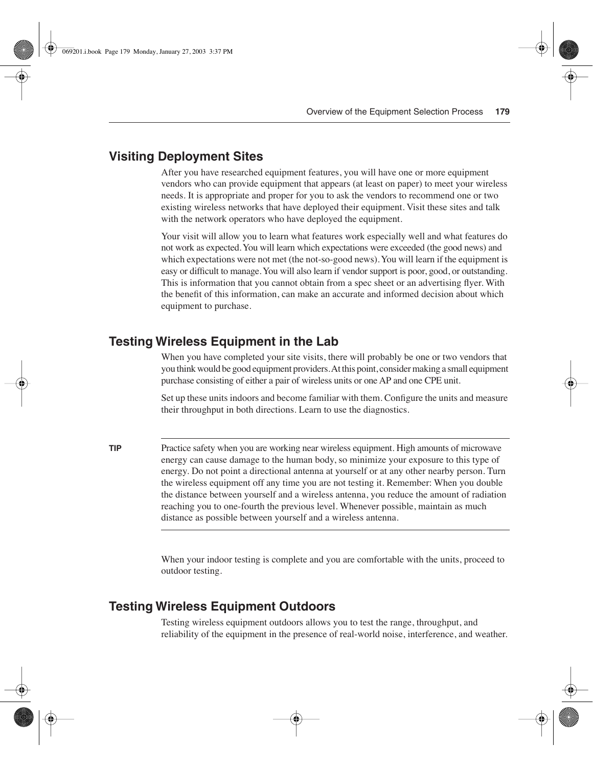## **Visiting Deployment Sites**

After you have researched equipment features, you will have one or more equipment vendors who can provide equipment that appears (at least on paper) to meet your wireless needs. It is appropriate and proper for you to ask the vendors to recommend one or two existing wireless networks that have deployed their equipment. Visit these sites and talk with the network operators who have deployed the equipment.

Your visit will allow you to learn what features work especially well and what features do not work as expected. You will learn which expectations were exceeded (the good news) and which expectations were not met (the not-so-good news). You will learn if the equipment is easy or difficult to manage. You will also learn if vendor support is poor, good, or outstanding. This is information that you cannot obtain from a spec sheet or an advertising flyer. With the benefit of this information, can make an accurate and informed decision about which equipment to purchase.

## **Testing Wireless Equipment in the Lab**

When you have completed your site visits, there will probably be one or two vendors that you think would be good equipment providers. At this point, consider making a small equipment purchase consisting of either a pair of wireless units or one AP and one CPE unit.

Set up these units indoors and become familiar with them. Configure the units and measure their throughput in both directions. Learn to use the diagnostics.

**TIP** Practice safety when you are working near wireless equipment. High amounts of microwave energy can cause damage to the human body, so minimize your exposure to this type of energy. Do not point a directional antenna at yourself or at any other nearby person. Turn the wireless equipment off any time you are not testing it. Remember: When you double the distance between yourself and a wireless antenna, you reduce the amount of radiation reaching you to one-fourth the previous level. Whenever possible, maintain as much distance as possible between yourself and a wireless antenna.

> When your indoor testing is complete and you are comfortable with the units, proceed to outdoor testing.

## **Testing Wireless Equipment Outdoors**

Testing wireless equipment outdoors allows you to test the range, throughput, and reliability of the equipment in the presence of real-world noise, interference, and weather.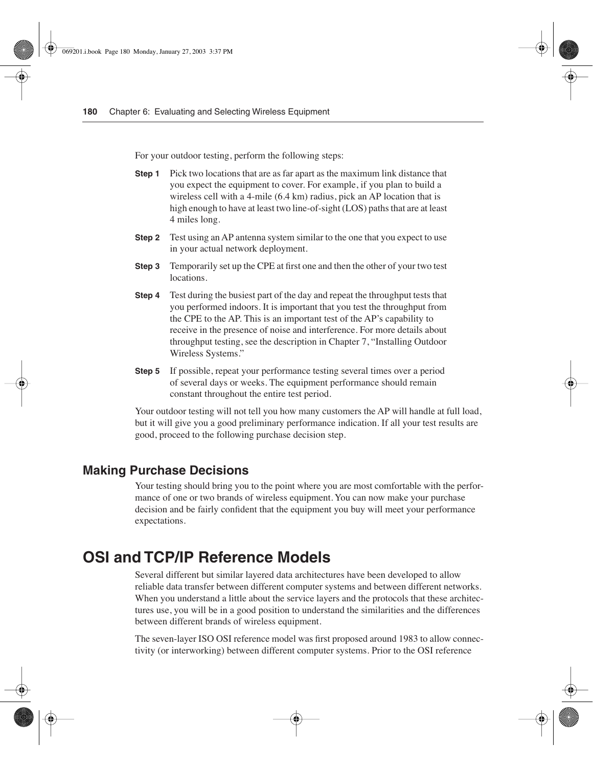For your outdoor testing, perform the following steps:

- **Step 1** Pick two locations that are as far apart as the maximum link distance that you expect the equipment to cover. For example, if you plan to build a wireless cell with a 4-mile (6.4 km) radius, pick an AP location that is high enough to have at least two line-of-sight (LOS) paths that are at least 4 miles long.
- **Step 2** Test using an AP antenna system similar to the one that you expect to use in your actual network deployment.
- **Step 3** Temporarily set up the CPE at first one and then the other of your two test locations.
- **Step 4** Test during the busiest part of the day and repeat the throughput tests that you performed indoors. It is important that you test the throughput from the CPE to the AP. This is an important test of the AP's capability to receive in the presence of noise and interference. For more details about throughput testing, see the description in Chapter 7, "Installing Outdoor Wireless Systems."
- **Step 5** If possible, repeat your performance testing several times over a period of several days or weeks. The equipment performance should remain constant throughout the entire test period.

Your outdoor testing will not tell you how many customers the AP will handle at full load, but it will give you a good preliminary performance indication. If all your test results are good, proceed to the following purchase decision step.

## **Making Purchase Decisions**

Your testing should bring you to the point where you are most comfortable with the performance of one or two brands of wireless equipment. You can now make your purchase decision and be fairly confident that the equipment you buy will meet your performance expectations.

## **OSI and TCP/IP Reference Models**

Several different but similar layered data architectures have been developed to allow reliable data transfer between different computer systems and between different networks. When you understand a little about the service layers and the protocols that these architectures use, you will be in a good position to understand the similarities and the differences between different brands of wireless equipment.

The seven-layer ISO OSI reference model was first proposed around 1983 to allow connectivity (or interworking) between different computer systems. Prior to the OSI reference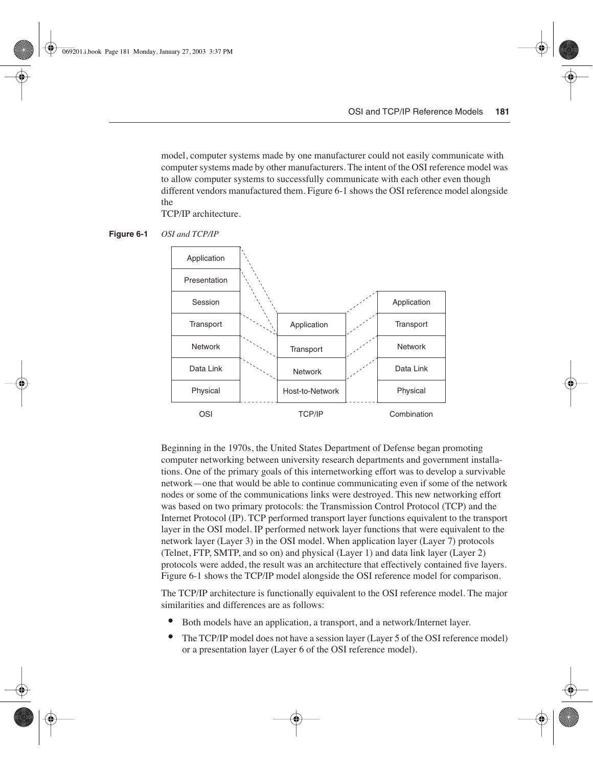model, computer systems made by one manufacturer could not easily communicate with computer systems made by other manufacturers. The intent of the OSI reference model was to allow computer systems to successfully communicate with each other even though different vendors manufactured them. Figure 6-1 shows the OSI reference model alongside the

TCP/IP architecture.





Beginning in the 1970s, the United States Department of Defense began promoting computer networking between university research departments and government installations. One of the primary goals of this internetworking effort was to develop a survivable network—one that would be able to continue communicating even if some of the network nodes or some of the communications links were destroyed. This new networking effort was based on two primary protocols: the Transmission Control Protocol (TCP) and the Internet Protocol (IP). TCP performed transport layer functions equivalent to the transport layer in the OSI model. IP performed network layer functions that were equivalent to the network layer (Layer 3) in the OSI model. When application layer (Layer 7) protocols (Telnet, FTP, SMTP, and so on) and physical (Layer 1) and data link layer (Layer 2) protocols were added, the result was an architecture that effectively contained five layers. Figure 6-1 shows the TCP/IP model alongside the OSI reference model for comparison.

The TCP/IP architecture is functionally equivalent to the OSI reference model. The major similarities and differences are as follows:

- Both models have an application, a transport, and a network/Internet layer.
- The TCP/IP model does not have a session layer (Layer 5 of the OSI reference model) or a presentation layer (Layer 6 of the OSI reference model).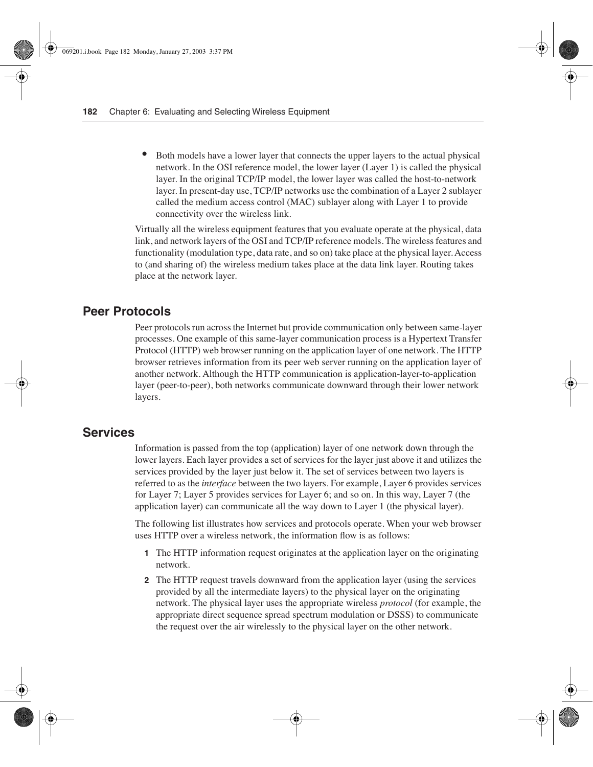• Both models have a lower layer that connects the upper layers to the actual physical network. In the OSI reference model, the lower layer (Layer 1) is called the physical layer. In the original TCP/IP model, the lower layer was called the host-to-network layer. In present-day use, TCP/IP networks use the combination of a Layer 2 sublayer called the medium access control (MAC) sublayer along with Layer 1 to provide connectivity over the wireless link.

Virtually all the wireless equipment features that you evaluate operate at the physical, data link, and network layers of the OSI and TCP/IP reference models. The wireless features and functionality (modulation type, data rate, and so on) take place at the physical layer. Access to (and sharing of) the wireless medium takes place at the data link layer. Routing takes place at the network layer.

### **Peer Protocols**

Peer protocols run across the Internet but provide communication only between same-layer processes. One example of this same-layer communication process is a Hypertext Transfer Protocol (HTTP) web browser running on the application layer of one network. The HTTP browser retrieves information from its peer web server running on the application layer of another network. Although the HTTP communication is application-layer-to-application layer (peer-to-peer), both networks communicate downward through their lower network layers.

## **Services**

Information is passed from the top (application) layer of one network down through the lower layers. Each layer provides a set of services for the layer just above it and utilizes the services provided by the layer just below it. The set of services between two layers is referred to as the *interface* between the two layers. For example, Layer 6 provides services for Layer 7; Layer 5 provides services for Layer 6; and so on. In this way, Layer 7 (the application layer) can communicate all the way down to Layer 1 (the physical layer).

The following list illustrates how services and protocols operate. When your web browser uses HTTP over a wireless network, the information flow is as follows:

- **1** The HTTP information request originates at the application layer on the originating network.
- **2** The HTTP request travels downward from the application layer (using the services provided by all the intermediate layers) to the physical layer on the originating network. The physical layer uses the appropriate wireless *protocol* (for example, the appropriate direct sequence spread spectrum modulation or DSSS) to communicate the request over the air wirelessly to the physical layer on the other network.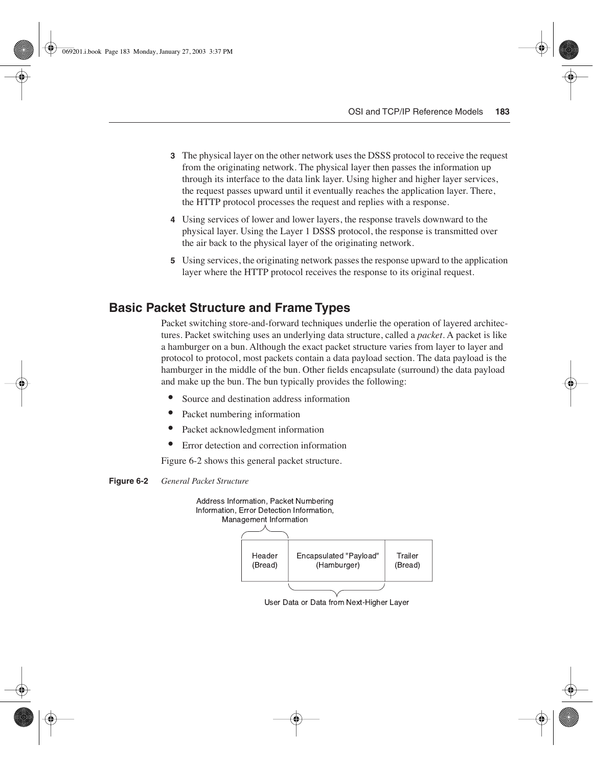- **3** The physical layer on the other network uses the DSSS protocol to receive the request from the originating network. The physical layer then passes the information up through its interface to the data link layer. Using higher and higher layer services, the request passes upward until it eventually reaches the application layer. There, the HTTP protocol processes the request and replies with a response.
- **4** Using services of lower and lower layers, the response travels downward to the physical layer. Using the Layer 1 DSSS protocol, the response is transmitted over the air back to the physical layer of the originating network.
- **5** Using services, the originating network passes the response upward to the application layer where the HTTP protocol receives the response to its original request.

## **Basic Packet Structure and Frame Types**

Packet switching store-and-forward techniques underlie the operation of layered architectures. Packet switching uses an underlying data structure, called a *packet*. A packet is like a hamburger on a bun. Although the exact packet structure varies from layer to layer and protocol to protocol, most packets contain a data payload section. The data payload is the hamburger in the middle of the bun. Other fields encapsulate (surround) the data payload and make up the bun. The bun typically provides the following:

- Source and destination address information
- Packet numbering information
- Packet acknowledgment information
- Error detection and correction information

Figure 6-2 shows this general packet structure.

#### **Figure 6-2** *General Packet Structure*



User Data or Data from Next-Higher Layer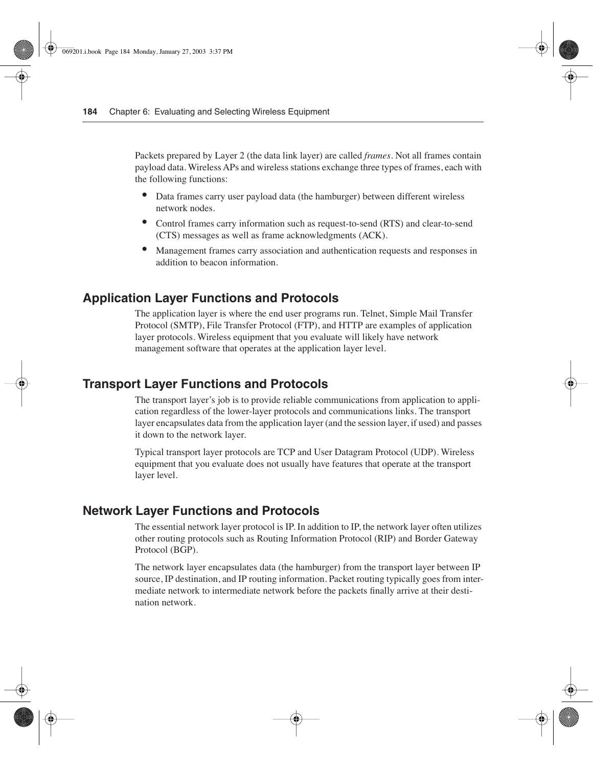Packets prepared by Layer 2 (the data link layer) are called *frames*. Not all frames contain payload data. Wireless APs and wireless stations exchange three types of frames, each with the following functions:

- Data frames carry user payload data (the hamburger) between different wireless network nodes.
- Control frames carry information such as request-to-send (RTS) and clear-to-send (CTS) messages as well as frame acknowledgments (ACK).
- Management frames carry association and authentication requests and responses in addition to beacon information.

## **Application Layer Functions and Protocols**

The application layer is where the end user programs run. Telnet, Simple Mail Transfer Protocol (SMTP), File Transfer Protocol (FTP), and HTTP are examples of application layer protocols. Wireless equipment that you evaluate will likely have network management software that operates at the application layer level.

## **Transport Layer Functions and Protocols**

The transport layer's job is to provide reliable communications from application to application regardless of the lower-layer protocols and communications links. The transport layer encapsulates data from the application layer (and the session layer, if used) and passes it down to the network layer.

Typical transport layer protocols are TCP and User Datagram Protocol (UDP). Wireless equipment that you evaluate does not usually have features that operate at the transport layer level.

## **Network Layer Functions and Protocols**

The essential network layer protocol is IP. In addition to IP, the network layer often utilizes other routing protocols such as Routing Information Protocol (RIP) and Border Gateway Protocol (BGP).

The network layer encapsulates data (the hamburger) from the transport layer between IP source, IP destination, and IP routing information. Packet routing typically goes from intermediate network to intermediate network before the packets finally arrive at their destination network.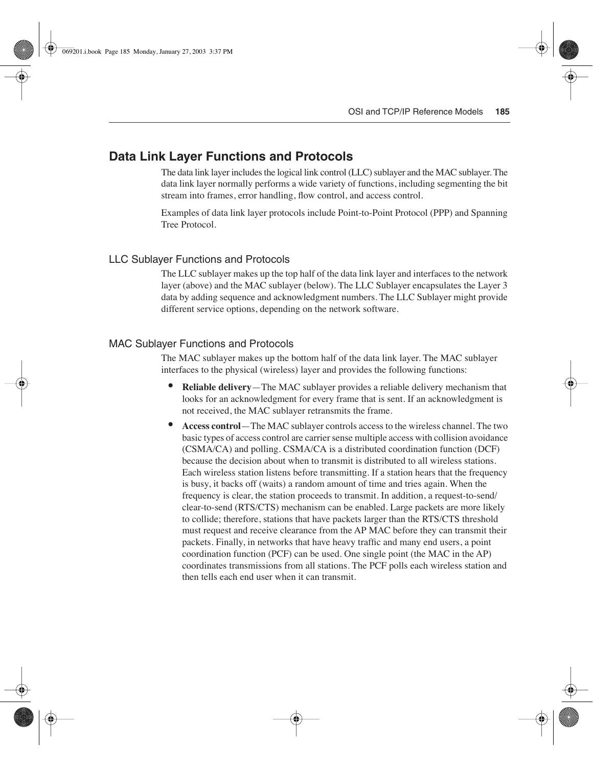## **Data Link Layer Functions and Protocols**

The data link layer includes the logical link control (LLC) sublayer and the MAC sublayer. The data link layer normally performs a wide variety of functions, including segmenting the bit stream into frames, error handling, flow control, and access control.

Examples of data link layer protocols include Point-to-Point Protocol (PPP) and Spanning Tree Protocol.

#### LLC Sublayer Functions and Protocols

The LLC sublayer makes up the top half of the data link layer and interfaces to the network layer (above) and the MAC sublayer (below). The LLC Sublayer encapsulates the Layer 3 data by adding sequence and acknowledgment numbers. The LLC Sublayer might provide different service options, depending on the network software.

#### MAC Sublayer Functions and Protocols

The MAC sublayer makes up the bottom half of the data link layer. The MAC sublayer interfaces to the physical (wireless) layer and provides the following functions:

- **Reliable delivery**—The MAC sublayer provides a reliable delivery mechanism that looks for an acknowledgment for every frame that is sent. If an acknowledgment is not received, the MAC sublayer retransmits the frame.
- **Access control**—The MAC sublayer controls access to the wireless channel. The two basic types of access control are carrier sense multiple access with collision avoidance (CSMA/CA) and polling. CSMA/CA is a distributed coordination function (DCF) because the decision about when to transmit is distributed to all wireless stations. Each wireless station listens before transmitting. If a station hears that the frequency is busy, it backs off (waits) a random amount of time and tries again. When the frequency is clear, the station proceeds to transmit. In addition, a request-to-send/ clear-to-send (RTS/CTS) mechanism can be enabled. Large packets are more likely to collide; therefore, stations that have packets larger than the RTS/CTS threshold must request and receive clearance from the AP MAC before they can transmit their packets. Finally, in networks that have heavy traffic and many end users, a point coordination function (PCF) can be used. One single point (the MAC in the AP) coordinates transmissions from all stations. The PCF polls each wireless station and then tells each end user when it can transmit.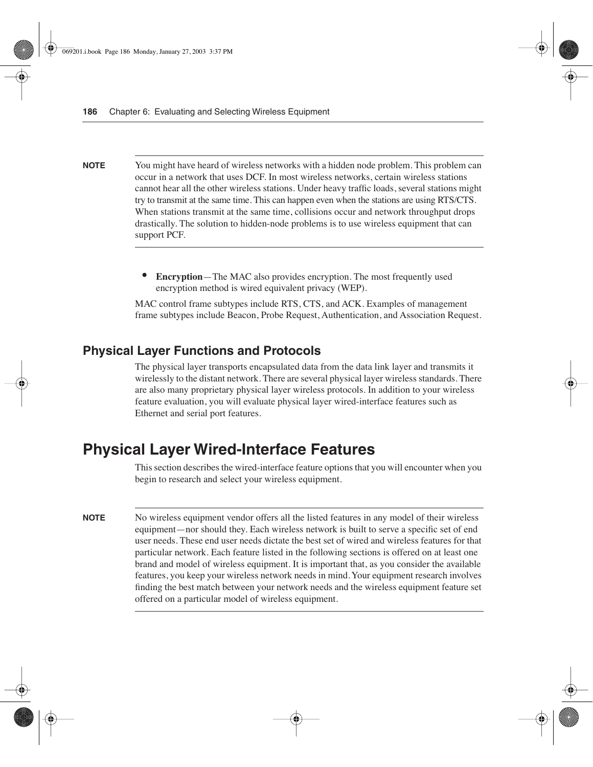- **NOTE** You might have heard of wireless networks with a hidden node problem. This problem can occur in a network that uses DCF. In most wireless networks, certain wireless stations cannot hear all the other wireless stations. Under heavy traffic loads, several stations might try to transmit at the same time. This can happen even when the stations are using RTS/CTS. When stations transmit at the same time, collisions occur and network throughput drops drastically. The solution to hidden-node problems is to use wireless equipment that can support PCF.
	- **Encryption**—The MAC also provides encryption. The most frequently used encryption method is wired equivalent privacy (WEP).

MAC control frame subtypes include RTS, CTS, and ACK. Examples of management frame subtypes include Beacon, Probe Request, Authentication, and Association Request.

## **Physical Layer Functions and Protocols**

The physical layer transports encapsulated data from the data link layer and transmits it wirelessly to the distant network. There are several physical layer wireless standards. There are also many proprietary physical layer wireless protocols. In addition to your wireless feature evaluation, you will evaluate physical layer wired-interface features such as Ethernet and serial port features.

## **Physical Layer Wired-Interface Features**

This section describes the wired-interface feature options that you will encounter when you begin to research and select your wireless equipment.

**NOTE** No wireless equipment vendor offers all the listed features in any model of their wireless equipment—nor should they. Each wireless network is built to serve a specific set of end user needs. These end user needs dictate the best set of wired and wireless features for that particular network. Each feature listed in the following sections is offered on at least one brand and model of wireless equipment. It is important that, as you consider the available features, you keep your wireless network needs in mind. Your equipment research involves finding the best match between your network needs and the wireless equipment feature set offered on a particular model of wireless equipment.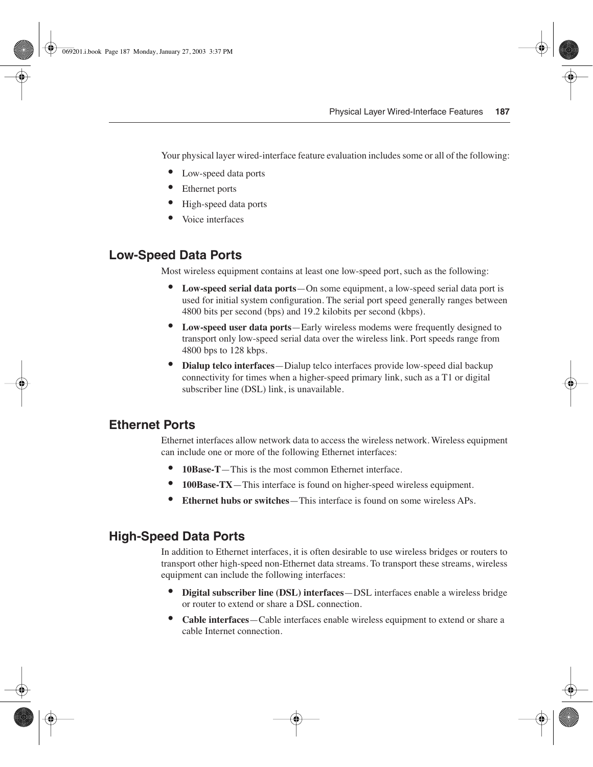Your physical layer wired-interface feature evaluation includes some or all of the following:

- Low-speed data ports
- Ethernet ports
- High-speed data ports
- Voice interfaces

## **Low-Speed Data Ports**

Most wireless equipment contains at least one low-speed port, such as the following:

- **Low-speed serial data ports**—On some equipment, a low-speed serial data port is used for initial system configuration. The serial port speed generally ranges between 4800 bits per second (bps) and 19.2 kilobits per second (kbps).
- **Low-speed user data ports**—Early wireless modems were frequently designed to transport only low-speed serial data over the wireless link. Port speeds range from 4800 bps to 128 kbps.
- **Dialup telco interfaces**—Dialup telco interfaces provide low-speed dial backup connectivity for times when a higher-speed primary link, such as a T1 or digital subscriber line (DSL) link, is unavailable.

## **Ethernet Ports**

Ethernet interfaces allow network data to access the wireless network. Wireless equipment can include one or more of the following Ethernet interfaces:

- **10Base-T**—This is the most common Ethernet interface.
- **100Base-TX**—This interface is found on higher-speed wireless equipment.
- **Ethernet hubs or switches**—This interface is found on some wireless APs.

## **High-Speed Data Ports**

In addition to Ethernet interfaces, it is often desirable to use wireless bridges or routers to transport other high-speed non-Ethernet data streams. To transport these streams, wireless equipment can include the following interfaces:

- **Digital subscriber line (DSL) interfaces**—DSL interfaces enable a wireless bridge or router to extend or share a DSL connection.
- **Cable interfaces**—Cable interfaces enable wireless equipment to extend or share a cable Internet connection.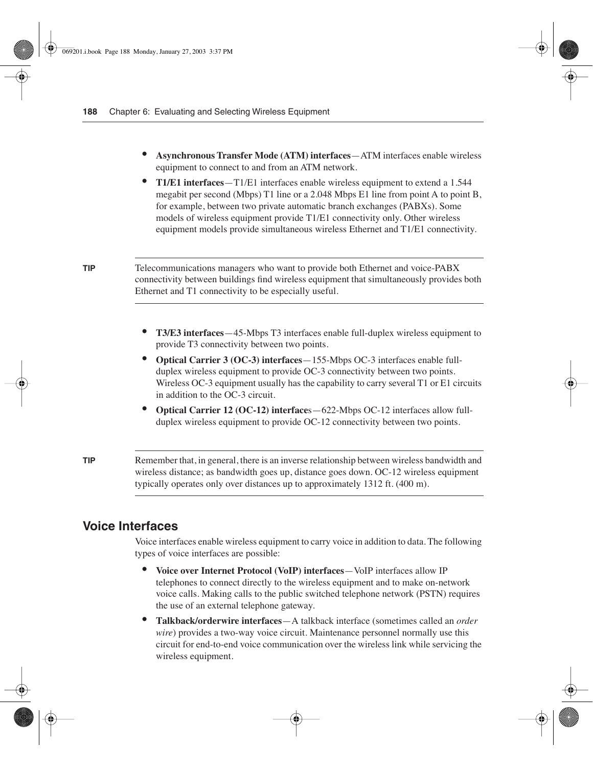- **Asynchronous Transfer Mode (ATM) interfaces**—ATM interfaces enable wireless equipment to connect to and from an ATM network.
- **T1/E1 interfaces**—T1/E1 interfaces enable wireless equipment to extend a 1.544 megabit per second (Mbps) T1 line or a 2.048 Mbps E1 line from point A to point B, for example, between two private automatic branch exchanges (PABXs). Some models of wireless equipment provide T1/E1 connectivity only. Other wireless equipment models provide simultaneous wireless Ethernet and T1/E1 connectivity.

**TIP** Telecommunications managers who want to provide both Ethernet and voice-PABX connectivity between buildings find wireless equipment that simultaneously provides both Ethernet and T1 connectivity to be especially useful.

- **T3/E3 interfaces**—45-Mbps T3 interfaces enable full-duplex wireless equipment to provide T3 connectivity between two points.
- **Optical Carrier 3 (OC-3) interfaces**—155-Mbps OC-3 interfaces enable fullduplex wireless equipment to provide OC-3 connectivity between two points. Wireless OC-3 equipment usually has the capability to carry several T1 or E1 circuits in addition to the OC-3 circuit.
- **Optical Carrier 12 (OC-12) interface**s—622-Mbps OC-12 interfaces allow fullduplex wireless equipment to provide OC-12 connectivity between two points.

**TIP** Remember that, in general, there is an inverse relationship between wireless bandwidth and wireless distance; as bandwidth goes up, distance goes down. OC-12 wireless equipment typically operates only over distances up to approximately 1312 ft. (400 m).

## **Voice Interfaces**

Voice interfaces enable wireless equipment to carry voice in addition to data. The following types of voice interfaces are possible:

- **Voice over Internet Protocol (VoIP) interfaces**—VoIP interfaces allow IP telephones to connect directly to the wireless equipment and to make on-network voice calls. Making calls to the public switched telephone network (PSTN) requires the use of an external telephone gateway.
- **Talkback/orderwire interfaces**—A talkback interface (sometimes called an *order wire*) provides a two-way voice circuit. Maintenance personnel normally use this circuit for end-to-end voice communication over the wireless link while servicing the wireless equipment.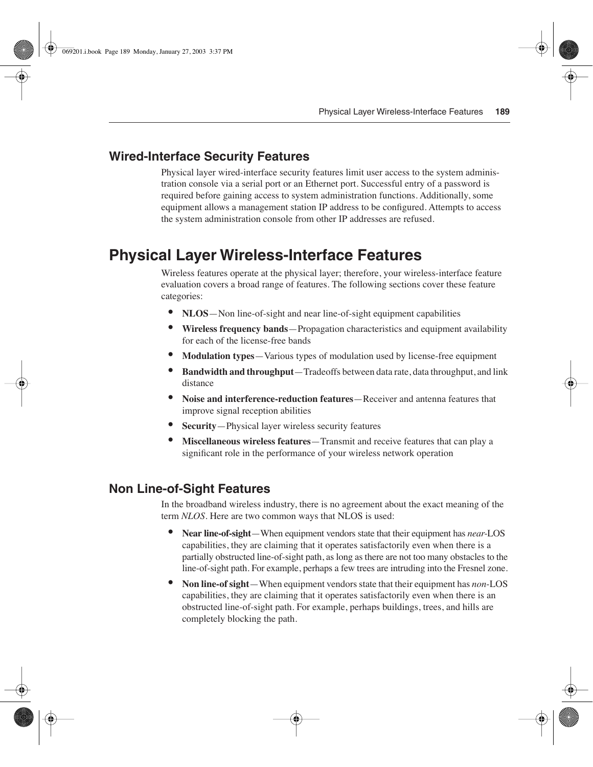## **Wired-Interface Security Features**

Physical layer wired-interface security features limit user access to the system administration console via a serial port or an Ethernet port. Successful entry of a password is required before gaining access to system administration functions. Additionally, some equipment allows a management station IP address to be configured. Attempts to access the system administration console from other IP addresses are refused.

## **Physical Layer Wireless-Interface Features**

Wireless features operate at the physical layer; therefore, your wireless-interface feature evaluation covers a broad range of features. The following sections cover these feature categories:

- **NLOS**—Non line-of-sight and near line-of-sight equipment capabilities
- **Wireless frequency bands**—Propagation characteristics and equipment availability for each of the license-free bands
- **Modulation types**—Various types of modulation used by license-free equipment
- **Bandwidth and throughput**—Tradeoffs between data rate, data throughput, and link distance
- **Noise and interference-reduction features**—Receiver and antenna features that improve signal reception abilities
- **Security**—Physical layer wireless security features
- **Miscellaneous wireless features**—Transmit and receive features that can play a significant role in the performance of your wireless network operation

## **Non Line-of-Sight Features**

In the broadband wireless industry, there is no agreement about the exact meaning of the term *NLOS*. Here are two common ways that NLOS is used:

- **Near line-of-sight**—When equipment vendors state that their equipment has *near*-LOS capabilities, they are claiming that it operates satisfactorily even when there is a partially obstructed line-of-sight path, as long as there are not too many obstacles to the line-of-sight path. For example, perhaps a few trees are intruding into the Fresnel zone.
- **Non line-of sight**—When equipment vendors state that their equipment has *non*-LOS capabilities, they are claiming that it operates satisfactorily even when there is an obstructed line-of-sight path. For example, perhaps buildings, trees, and hills are completely blocking the path.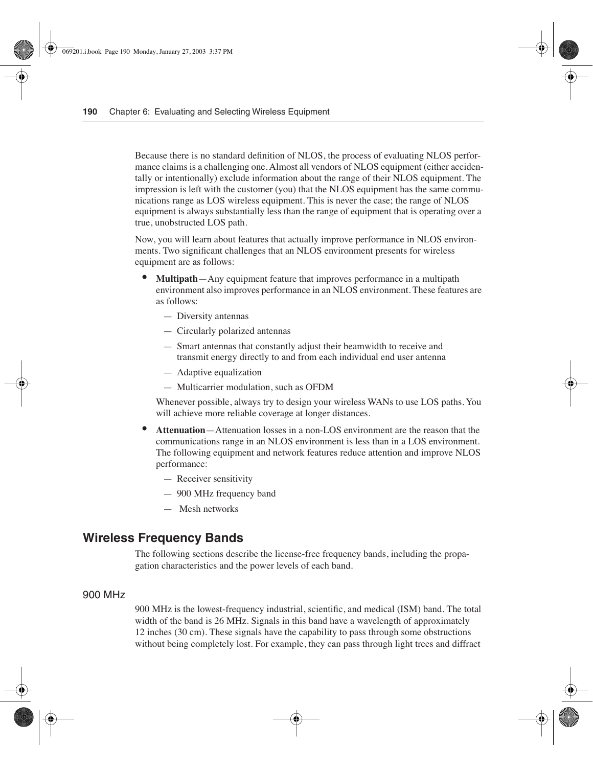Because there is no standard definition of NLOS, the process of evaluating NLOS performance claims is a challenging one. Almost all vendors of NLOS equipment (either accidentally or intentionally) exclude information about the range of their NLOS equipment. The impression is left with the customer (you) that the NLOS equipment has the same communications range as LOS wireless equipment. This is never the case; the range of NLOS equipment is always substantially less than the range of equipment that is operating over a true, unobstructed LOS path.

Now, you will learn about features that actually improve performance in NLOS environments. Two significant challenges that an NLOS environment presents for wireless equipment are as follows:

- **Multipath**—Any equipment feature that improves performance in a multipath environment also improves performance in an NLOS environment. These features are as follows:
	- Diversity antennas
	- Circularly polarized antennas
	- Smart antennas that constantly adjust their beamwidth to receive and transmit energy directly to and from each individual end user antenna
	- Adaptive equalization
	- Multicarrier modulation, such as OFDM

Whenever possible, always try to design your wireless WANs to use LOS paths. You will achieve more reliable coverage at longer distances.

- **Attenuation**—Attenuation losses in a non-LOS environment are the reason that the communications range in an NLOS environment is less than in a LOS environment. The following equipment and network features reduce attention and improve NLOS performance:
	- Receiver sensitivity
	- 900 MHz frequency band
	- Mesh networks

## **Wireless Frequency Bands**

The following sections describe the license-free frequency bands, including the propagation characteristics and the power levels of each band.

#### 900 MHz

900 MHz is the lowest-frequency industrial, scientific, and medical (ISM) band. The total width of the band is 26 MHz. Signals in this band have a wavelength of approximately 12 inches (30 cm). These signals have the capability to pass through some obstructions without being completely lost. For example, they can pass through light trees and diffract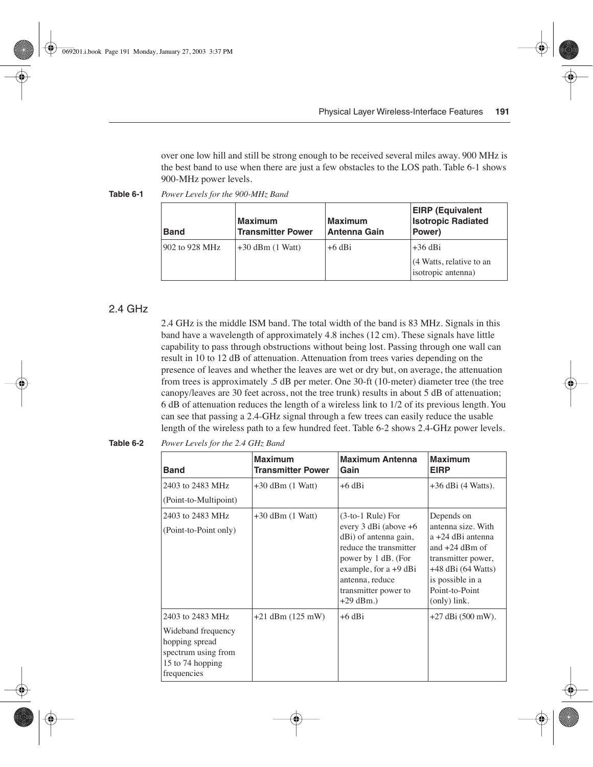over one low hill and still be strong enough to be received several miles away. 900 MHz is the best band to use when there are just a few obstacles to the LOS path. Table 6-1 shows 900-MHz power levels.

**Table 6-1** *Power Levels for the 900-MHz Band*

| <b>Band</b>    | <b>Maximum</b><br><b>Transmitter Power</b> | <b>Maximum</b><br>Antenna Gain | <b>EIRP (Equivalent</b><br><b>Isotropic Radiated</b><br>Power) |
|----------------|--------------------------------------------|--------------------------------|----------------------------------------------------------------|
| 902 to 928 MHz | $+30$ dBm $(1$ Watt)                       | $+6$ dBi                       | +36 dBi                                                        |
|                |                                            |                                | (4 Watts, relative to an<br>isotropic antenna)                 |

### 2.4 GHz

2.4 GHz is the middle ISM band. The total width of the band is 83 MHz. Signals in this band have a wavelength of approximately 4.8 inches (12 cm). These signals have little capability to pass through obstructions without being lost. Passing through one wall can result in 10 to 12 dB of attenuation. Attenuation from trees varies depending on the presence of leaves and whether the leaves are wet or dry but, on average, the attenuation from trees is approximately .5 dB per meter. One 30-ft (10-meter) diameter tree (the tree canopy/leaves are 30 feet across, not the tree trunk) results in about 5 dB of attenuation; 6 dB of attenuation reduces the length of a wireless link to 1/2 of its previous length. You can see that passing a 2.4-GHz signal through a few trees can easily reduce the usable length of the wireless path to a few hundred feet. Table 6-2 shows 2.4-GHz power levels.

**Table 6-2** *Power Levels for the 2.4 GHz Band* 

| <b>Band</b>                                                                                                        | <b>Maximum</b><br><b>Transmitter Power</b> | <b>Maximum Antenna</b><br>Gain                                                                                                                                                                               | <b>Maximum</b><br><b>EIRP</b>                                                                                                                                                    |
|--------------------------------------------------------------------------------------------------------------------|--------------------------------------------|--------------------------------------------------------------------------------------------------------------------------------------------------------------------------------------------------------------|----------------------------------------------------------------------------------------------------------------------------------------------------------------------------------|
| 2403 to 2483 MHz<br>(Point-to-Multipoint)                                                                          | $+30$ dBm $(1$ Watt)                       | $+6$ dBi                                                                                                                                                                                                     | $+36$ dBi (4 Watts).                                                                                                                                                             |
| 2403 to 2483 MHz<br>(Point-to-Point only)                                                                          | $+30$ dBm $(1$ Watt)                       | $(3-to-1$ Rule) For<br>every 3 dBi (above +6<br>dBi) of antenna gain,<br>reduce the transmitter<br>power by 1 dB. (For<br>example, for $a + 9$ dBi<br>antenna, reduce<br>transmitter power to<br>$+29$ dBm.) | Depends on<br>antenna size. With<br>$a + 24$ dBi antenna<br>and $+24$ dBm of<br>transmitter power,<br>$+48$ dBi (64 Watts)<br>is possible in a<br>Point-to-Point<br>(only) link. |
| 2403 to 2483 MHz<br>Wideband frequency<br>hopping spread<br>spectrum using from<br>15 to 74 hopping<br>frequencies | $+21$ dBm (125 mW)                         | $+6$ dBi                                                                                                                                                                                                     | $+27$ dBi (500 mW).                                                                                                                                                              |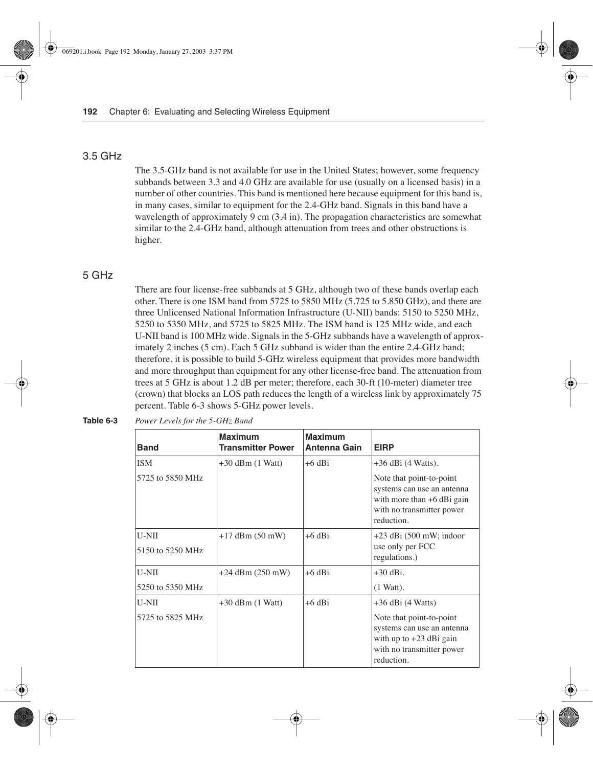#### 3.5 GHz

The 3.5-GHz band is not available for use in the United States; however, some frequency subbands between 3.3 and 4.0 GHz are available for use (usually on a licensed basis) in a number of other countries. This band is mentioned here because equipment for this band is, in many cases, similar to equipment for the 2.4-GHz band. Signals in this band have a wavelength of approximately 9 cm (3.4 in). The propagation characteristics are somewhat similar to the 2.4-GHz band, although attenuation from trees and other obstructions is higher.

#### 5 GHz

There are four license-free subbands at 5 GHz, although two of these bands overlap each other. There is one ISM band from 5725 to 5850 MHz (5.725 to 5.850 GHz), and there are three Unlicensed National Information Infrastructure (U-NII) bands: 5150 to 5250 MHz, 5250 to 5350 MHz, and 5725 to 5825 MHz. The ISM band is 125 MHz wide, and each U-NII band is 100 MHz wide. Signals in the 5-GHz subbands have a wavelength of approximately 2 inches (5 cm). Each 5 GHz subband is wider than the entire 2.4-GHz band; therefore, it is possible to build 5-GHz wireless equipment that provides more bandwidth and more throughput than equipment for any other license-free band. The attenuation from trees at 5 GHz is about 1.2 dB per meter; therefore, each 30-ft (10-meter) diameter tree (crown) that blocks an LOS path reduces the length of a wireless link by approximately 75 percent. Table 6-3 shows 5-GHz power levels.

| <b>Band</b>                | <b>Maximum</b><br><b>Transmitter Power</b> | <b>Maximum</b><br><b>Antenna Gain</b> | <b>EIRP</b>                                                                                                                     |
|----------------------------|--------------------------------------------|---------------------------------------|---------------------------------------------------------------------------------------------------------------------------------|
| <b>ISM</b>                 | $+30$ dBm $(1$ Watt)                       | $+6$ dBi                              | $+36$ dBi (4 Watts).                                                                                                            |
| 5725 to 5850 MHz           |                                            |                                       | Note that point-to-point<br>systems can use an antenna<br>with more than +6 dBi gain<br>with no transmitter power<br>reduction. |
| U-NII)<br>5150 to 5250 MHz | $+17$ dBm (50 mW)                          | $+6$ dBi                              | $+23$ dBi (500 mW; indoor<br>use only per FCC<br>regulations.)                                                                  |
| U-NII                      | $+24$ dBm (250 mW)                         | $+6$ dBi                              | $+30$ dBi.                                                                                                                      |
| 5250 to 5350 MHz           |                                            |                                       | $(1$ Watt).                                                                                                                     |
| U-NII                      | $+30$ dBm $(1$ Watt)                       | $+6$ dBi                              | $+36$ dBi (4 Watts)                                                                                                             |
| 15725 to 5825 MHz          |                                            |                                       | Note that point-to-point<br>systems can use an antenna<br>with up to $+23$ dBi gain<br>with no transmitter power<br>reduction.  |

**Table 6-3** *Power Levels for the 5-GHz Band*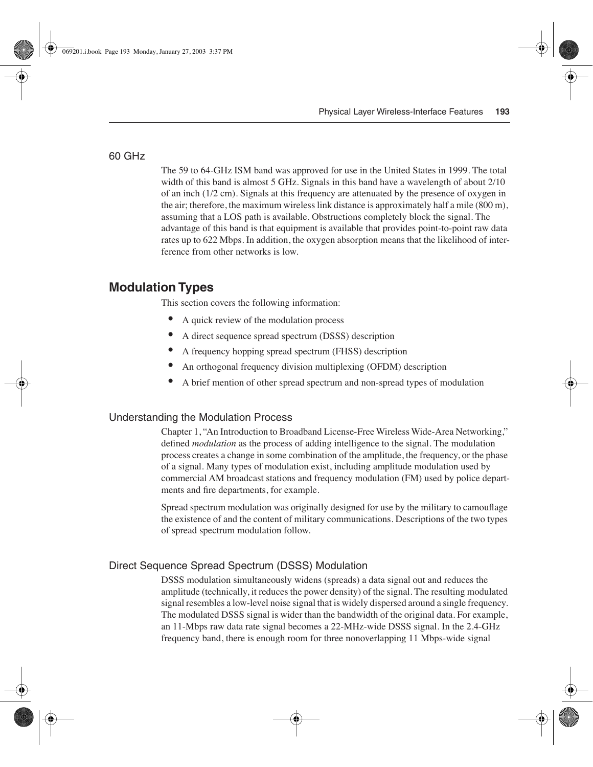#### 60 GHz

The 59 to 64-GHz ISM band was approved for use in the United States in 1999. The total width of this band is almost 5 GHz. Signals in this band have a wavelength of about 2/10 of an inch (1/2 cm). Signals at this frequency are attenuated by the presence of oxygen in the air; therefore, the maximum wireless link distance is approximately half a mile  $(800 \text{ m})$ , assuming that a LOS path is available. Obstructions completely block the signal. The advantage of this band is that equipment is available that provides point-to-point raw data rates up to 622 Mbps. In addition, the oxygen absorption means that the likelihood of interference from other networks is low.

## **Modulation Types**

This section covers the following information:

- A quick review of the modulation process
- A direct sequence spread spectrum (DSSS) description
- A frequency hopping spread spectrum (FHSS) description
- An orthogonal frequency division multiplexing (OFDM) description
- A brief mention of other spread spectrum and non-spread types of modulation

#### Understanding the Modulation Process

Chapter 1, "An Introduction to Broadband License-Free Wireless Wide-Area Networking," defined *modulation* as the process of adding intelligence to the signal. The modulation process creates a change in some combination of the amplitude, the frequency, or the phase of a signal. Many types of modulation exist, including amplitude modulation used by commercial AM broadcast stations and frequency modulation (FM) used by police departments and fire departments, for example.

Spread spectrum modulation was originally designed for use by the military to camouflage the existence of and the content of military communications. Descriptions of the two types of spread spectrum modulation follow.

#### Direct Sequence Spread Spectrum (DSSS) Modulation

DSSS modulation simultaneously widens (spreads) a data signal out and reduces the amplitude (technically, it reduces the power density) of the signal. The resulting modulated signal resembles a low-level noise signal that is widely dispersed around a single frequency. The modulated DSSS signal is wider than the bandwidth of the original data. For example, an 11-Mbps raw data rate signal becomes a 22-MHz-wide DSSS signal. In the 2.4-GHz frequency band, there is enough room for three nonoverlapping 11 Mbps-wide signal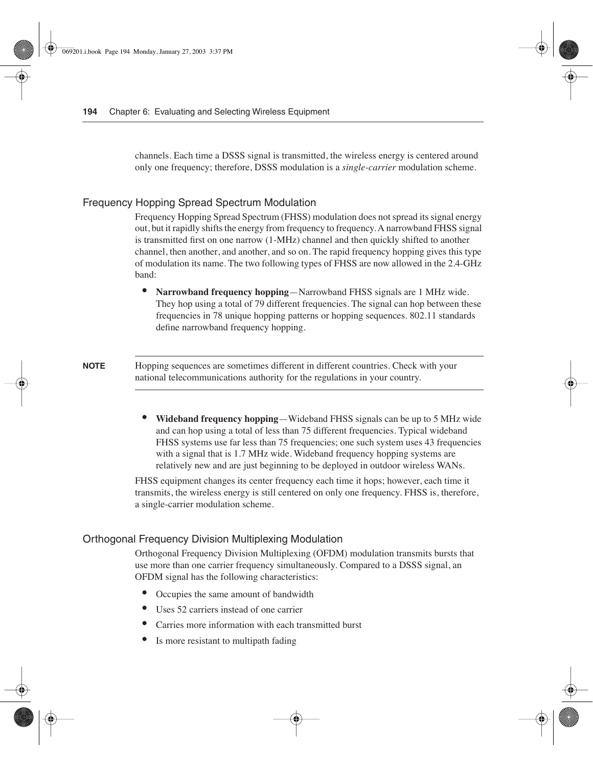channels. Each time a DSSS signal is transmitted, the wireless energy is centered around only one frequency; therefore, DSSS modulation is a *single-carrier* modulation scheme.

#### Frequency Hopping Spread Spectrum Modulation

Frequency Hopping Spread Spectrum (FHSS) modulation does not spread its signal energy out, but it rapidly shifts the energy from frequency to frequency. A narrowband FHSS signal is transmitted first on one narrow (1-MHz) channel and then quickly shifted to another channel, then another, and another, and so on. The rapid frequency hopping gives this type of modulation its name. The two following types of FHSS are now allowed in the 2.4-GHz band:

• **Narrowband frequency hopping**—Narrowband FHSS signals are 1 MHz wide. They hop using a total of 79 different frequencies. The signal can hop between these frequencies in 78 unique hopping patterns or hopping sequences. 802.11 standards define narrowband frequency hopping.

**NOTE** Hopping sequences are sometimes different in different countries. Check with your national telecommunications authority for the regulations in your country.

> • **Wideband frequency hopping**—Wideband FHSS signals can be up to 5 MHz wide and can hop using a total of less than 75 different frequencies. Typical wideband FHSS systems use far less than 75 frequencies; one such system uses 43 frequencies with a signal that is 1.7 MHz wide. Wideband frequency hopping systems are relatively new and are just beginning to be deployed in outdoor wireless WANs.

FHSS equipment changes its center frequency each time it hops; however, each time it transmits, the wireless energy is still centered on only one frequency. FHSS is, therefore, a single-carrier modulation scheme.

#### Orthogonal Frequency Division Multiplexing Modulation

Orthogonal Frequency Division Multiplexing (OFDM) modulation transmits bursts that use more than one carrier frequency simultaneously. Compared to a DSSS signal, an OFDM signal has the following characteristics:

- Occupies the same amount of bandwidth
- Uses 52 carriers instead of one carrier
- Carries more information with each transmitted burst
- Is more resistant to multipath fading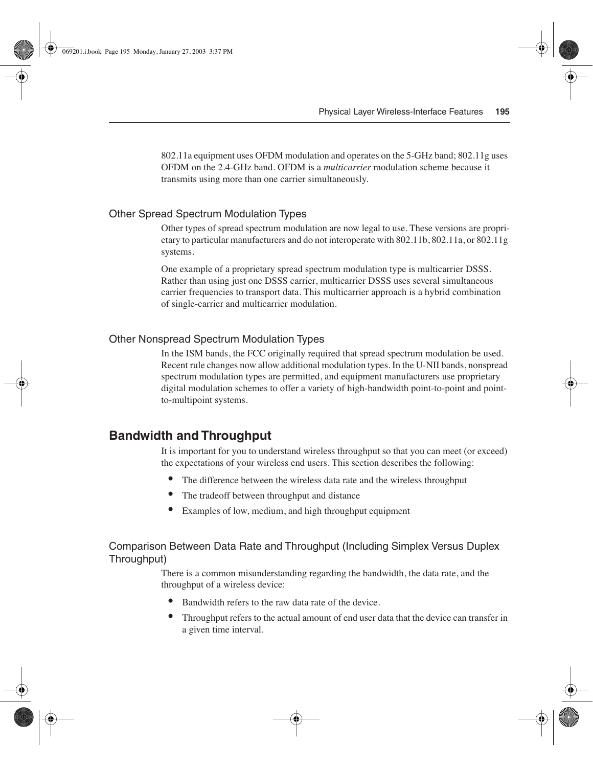802.11a equipment uses OFDM modulation and operates on the 5-GHz band; 802.11g uses OFDM on the 2.4-GHz band. OFDM is a *multicarrier* modulation scheme because it transmits using more than one carrier simultaneously.

#### Other Spread Spectrum Modulation Types

Other types of spread spectrum modulation are now legal to use. These versions are proprietary to particular manufacturers and do not interoperate with 802.11b, 802.11a, or 802.11g systems.

One example of a proprietary spread spectrum modulation type is multicarrier DSSS. Rather than using just one DSSS carrier, multicarrier DSSS uses several simultaneous carrier frequencies to transport data. This multicarrier approach is a hybrid combination of single-carrier and multicarrier modulation.

#### Other Nonspread Spectrum Modulation Types

In the ISM bands, the FCC originally required that spread spectrum modulation be used. Recent rule changes now allow additional modulation types. In the U-NII bands, nonspread spectrum modulation types are permitted, and equipment manufacturers use proprietary digital modulation schemes to offer a variety of high-bandwidth point-to-point and pointto-multipoint systems.

## **Bandwidth and Throughput**

It is important for you to understand wireless throughput so that you can meet (or exceed) the expectations of your wireless end users. This section describes the following:

- The difference between the wireless data rate and the wireless throughput
- The tradeoff between throughput and distance
- Examples of low, medium, and high throughput equipment

### Comparison Between Data Rate and Throughput (Including Simplex Versus Duplex Throughput)

There is a common misunderstanding regarding the bandwidth, the data rate, and the throughput of a wireless device:

- Bandwidth refers to the raw data rate of the device.
- Throughput refers to the actual amount of end user data that the device can transfer in a given time interval.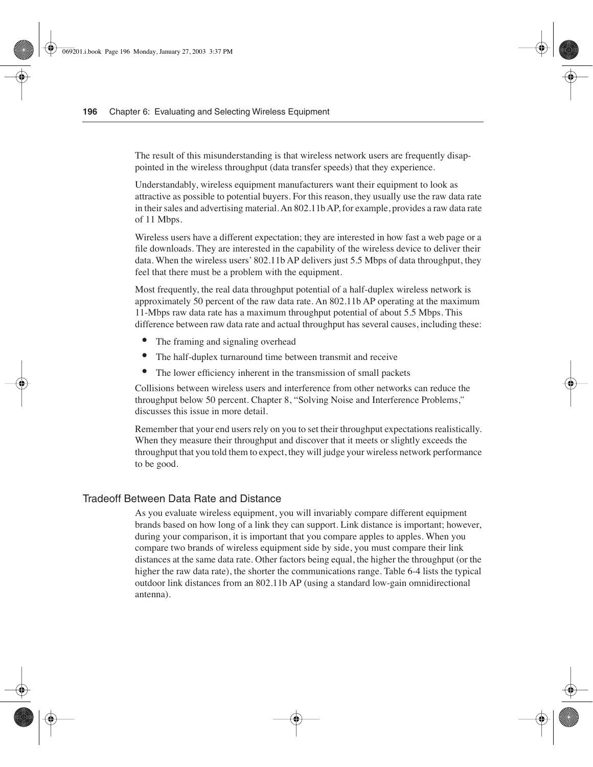The result of this misunderstanding is that wireless network users are frequently disappointed in the wireless throughput (data transfer speeds) that they experience.

Understandably, wireless equipment manufacturers want their equipment to look as attractive as possible to potential buyers. For this reason, they usually use the raw data rate in their sales and advertising material. An 802.11b AP, for example, provides a raw data rate of 11 Mbps.

Wireless users have a different expectation; they are interested in how fast a web page or a file downloads. They are interested in the capability of the wireless device to deliver their data. When the wireless users' 802.11b AP delivers just 5.5 Mbps of data throughput, they feel that there must be a problem with the equipment.

Most frequently, the real data throughput potential of a half-duplex wireless network is approximately 50 percent of the raw data rate. An 802.11b AP operating at the maximum 11-Mbps raw data rate has a maximum throughput potential of about 5.5 Mbps. This difference between raw data rate and actual throughput has several causes, including these:

- The framing and signaling overhead
- The half-duplex turnaround time between transmit and receive
- The lower efficiency inherent in the transmission of small packets

Collisions between wireless users and interference from other networks can reduce the throughput below 50 percent. Chapter 8, "Solving Noise and Interference Problems,*"* discusses this issue in more detail.

Remember that your end users rely on you to set their throughput expectations realistically. When they measure their throughput and discover that it meets or slightly exceeds the throughput that you told them to expect, they will judge your wireless network performance to be good.

#### Tradeoff Between Data Rate and Distance

As you evaluate wireless equipment, you will invariably compare different equipment brands based on how long of a link they can support. Link distance is important; however, during your comparison, it is important that you compare apples to apples. When you compare two brands of wireless equipment side by side, you must compare their link distances at the same data rate. Other factors being equal, the higher the throughput (or the higher the raw data rate), the shorter the communications range. Table 6-4 lists the typical outdoor link distances from an 802.11b AP (using a standard low-gain omnidirectional antenna).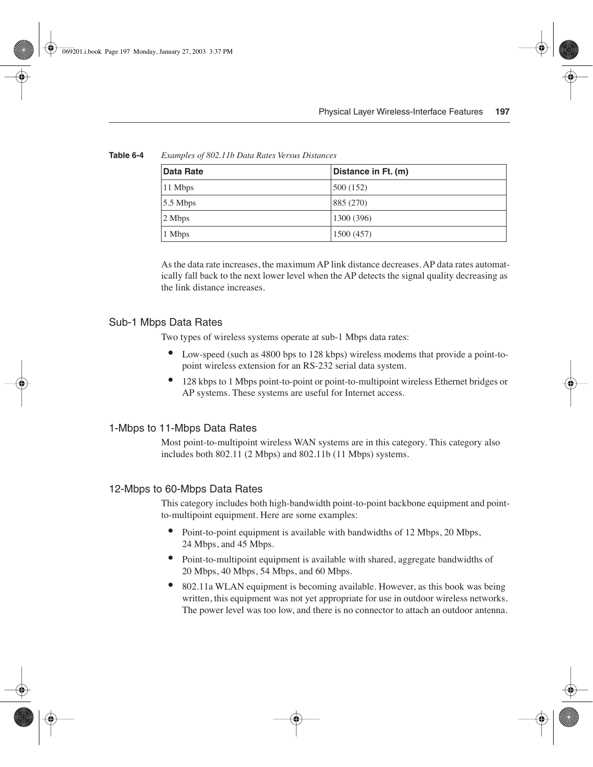| Data Rate  | Distance in Ft. (m) |
|------------|---------------------|
| 11 Mbps    | 500(152)            |
| $5.5$ Mbps | 885 (270)           |
| 2 Mbps     | 1300 (396)          |
| 1 Mbps     | 1500 (457)          |

**Table 6-4** *Examples of 802.11b Data Rates Versus Distances*

As the data rate increases, the maximum AP link distance decreases. AP data rates automatically fall back to the next lower level when the AP detects the signal quality decreasing as the link distance increases.

#### Sub-1 Mbps Data Rates

Two types of wireless systems operate at sub-1 Mbps data rates:

- Low-speed (such as 4800 bps to 128 kbps) wireless modems that provide a point-topoint wireless extension for an RS-232 serial data system.
- 128 kbps to 1 Mbps point-to-point or point-to-multipoint wireless Ethernet bridges or AP systems. These systems are useful for Internet access.

#### 1-Mbps to 11-Mbps Data Rates

Most point-to-multipoint wireless WAN systems are in this category. This category also includes both 802.11 (2 Mbps) and 802.11b (11 Mbps) systems.

#### 12-Mbps to 60-Mbps Data Rates

This category includes both high-bandwidth point-to-point backbone equipment and pointto-multipoint equipment. Here are some examples:

- Point-to-point equipment is available with bandwidths of 12 Mbps, 20 Mbps, 24 Mbps, and 45 Mbps.
- Point-to-multipoint equipment is available with shared, aggregate bandwidths of 20 Mbps, 40 Mbps, 54 Mbps, and 60 Mbps.
- 802.11a WLAN equipment is becoming available. However, as this book was being written, this equipment was not yet appropriate for use in outdoor wireless networks. The power level was too low, and there is no connector to attach an outdoor antenna.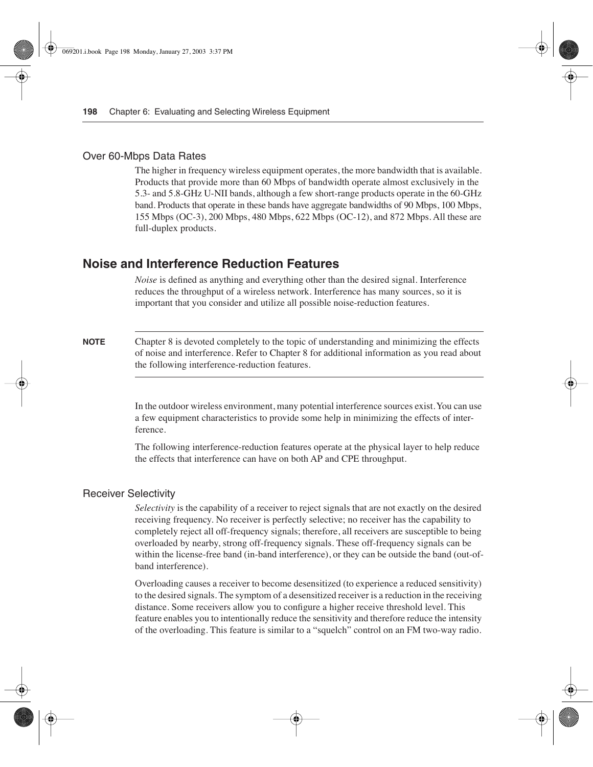#### Over 60-Mbps Data Rates

The higher in frequency wireless equipment operates, the more bandwidth that is available. Products that provide more than 60 Mbps of bandwidth operate almost exclusively in the 5.3- and 5.8-GHz U-NII bands, although a few short-range products operate in the 60-GHz band. Products that operate in these bands have aggregate bandwidths of 90 Mbps, 100 Mbps, 155 Mbps (OC-3), 200 Mbps, 480 Mbps, 622 Mbps (OC-12), and 872 Mbps. All these are full-duplex products.

### **Noise and Interference Reduction Features**

*Noise* is defined as anything and everything other than the desired signal. Interference reduces the throughput of a wireless network. Interference has many sources, so it is important that you consider and utilize all possible noise-reduction features.

**NOTE** Chapter 8 is devoted completely to the topic of understanding and minimizing the effects of noise and interference. Refer to Chapter 8 for additional information as you read about the following interference-reduction features.

> In the outdoor wireless environment, many potential interference sources exist. You can use a few equipment characteristics to provide some help in minimizing the effects of interference.

> The following interference-reduction features operate at the physical layer to help reduce the effects that interference can have on both AP and CPE throughput.

#### Receiver Selectivity

*Selectivity* is the capability of a receiver to reject signals that are not exactly on the desired receiving frequency. No receiver is perfectly selective; no receiver has the capability to completely reject all off-frequency signals; therefore, all receivers are susceptible to being overloaded by nearby, strong off-frequency signals. These off-frequency signals can be within the license-free band (in-band interference), or they can be outside the band (out-ofband interference).

Overloading causes a receiver to become desensitized (to experience a reduced sensitivity) to the desired signals. The symptom of a desensitized receiver is a reduction in the receiving distance. Some receivers allow you to configure a higher receive threshold level. This feature enables you to intentionally reduce the sensitivity and therefore reduce the intensity of the overloading. This feature is similar to a "squelch" control on an FM two-way radio.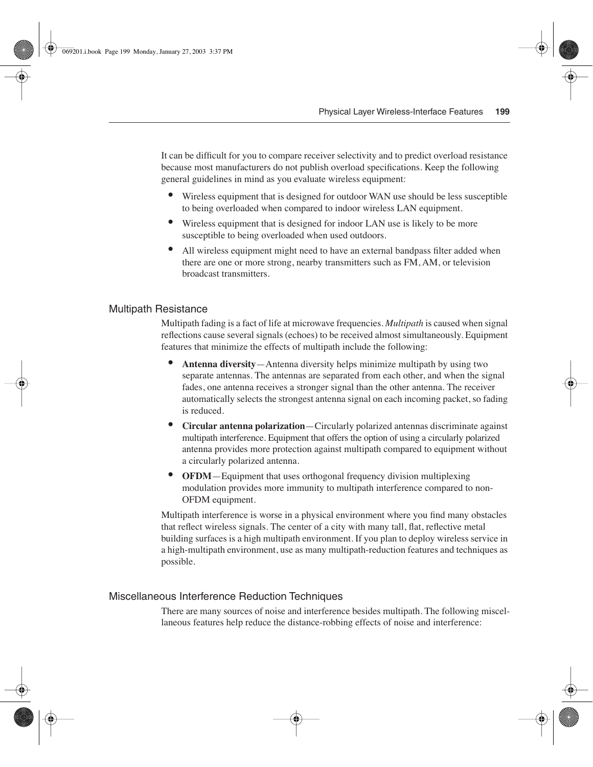It can be difficult for you to compare receiver selectivity and to predict overload resistance because most manufacturers do not publish overload specifications. Keep the following general guidelines in mind as you evaluate wireless equipment:

- Wireless equipment that is designed for outdoor WAN use should be less susceptible to being overloaded when compared to indoor wireless LAN equipment.
- Wireless equipment that is designed for indoor LAN use is likely to be more susceptible to being overloaded when used outdoors.
- All wireless equipment might need to have an external bandpass filter added when there are one or more strong, nearby transmitters such as FM, AM, or television broadcast transmitters.

#### Multipath Resistance

Multipath fading is a fact of life at microwave frequencies. *Multipath* is caused when signal reflections cause several signals (echoes) to be received almost simultaneously. Equipment features that minimize the effects of multipath include the following:

- **Antenna diversity**—Antenna diversity helps minimize multipath by using two separate antennas. The antennas are separated from each other, and when the signal fades, one antenna receives a stronger signal than the other antenna. The receiver automatically selects the strongest antenna signal on each incoming packet, so fading is reduced.
- **Circular antenna polarization**—Circularly polarized antennas discriminate against multipath interference. Equipment that offers the option of using a circularly polarized antenna provides more protection against multipath compared to equipment without a circularly polarized antenna.
- **OFDM**—Equipment that uses orthogonal frequency division multiplexing modulation provides more immunity to multipath interference compared to non-OFDM equipment.

Multipath interference is worse in a physical environment where you find many obstacles that reflect wireless signals. The center of a city with many tall, flat, reflective metal building surfaces is a high multipath environment. If you plan to deploy wireless service in a high-multipath environment, use as many multipath-reduction features and techniques as possible.

#### Miscellaneous Interference Reduction Techniques

There are many sources of noise and interference besides multipath. The following miscellaneous features help reduce the distance-robbing effects of noise and interference: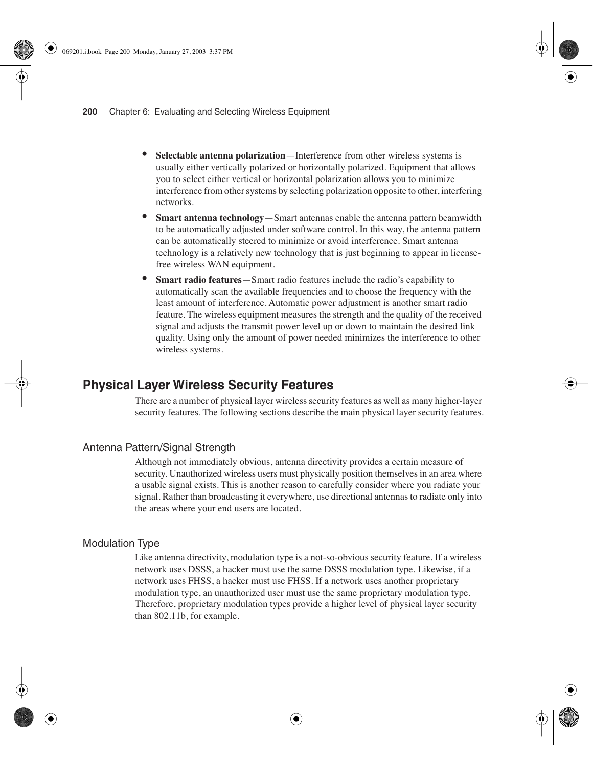- **Selectable antenna polarization**—Interference from other wireless systems is usually either vertically polarized or horizontally polarized. Equipment that allows you to select either vertical or horizontal polarization allows you to minimize interference from other systems by selecting polarization opposite to other, interfering networks.
- **Smart antenna technology**—Smart antennas enable the antenna pattern beamwidth to be automatically adjusted under software control. In this way, the antenna pattern can be automatically steered to minimize or avoid interference. Smart antenna technology is a relatively new technology that is just beginning to appear in licensefree wireless WAN equipment.
- **Smart radio features**—Smart radio features include the radio's capability to automatically scan the available frequencies and to choose the frequency with the least amount of interference. Automatic power adjustment is another smart radio feature. The wireless equipment measures the strength and the quality of the received signal and adjusts the transmit power level up or down to maintain the desired link quality. Using only the amount of power needed minimizes the interference to other wireless systems.

## **Physical Layer Wireless Security Features**

There are a number of physical layer wireless security features as well as many higher-layer security features. The following sections describe the main physical layer security features.

#### Antenna Pattern/Signal Strength

Although not immediately obvious, antenna directivity provides a certain measure of security. Unauthorized wireless users must physically position themselves in an area where a usable signal exists. This is another reason to carefully consider where you radiate your signal. Rather than broadcasting it everywhere, use directional antennas to radiate only into the areas where your end users are located.

#### Modulation Type

Like antenna directivity, modulation type is a not-so-obvious security feature. If a wireless network uses DSSS, a hacker must use the same DSSS modulation type. Likewise, if a network uses FHSS, a hacker must use FHSS. If a network uses another proprietary modulation type, an unauthorized user must use the same proprietary modulation type. Therefore, proprietary modulation types provide a higher level of physical layer security than 802.11b, for example.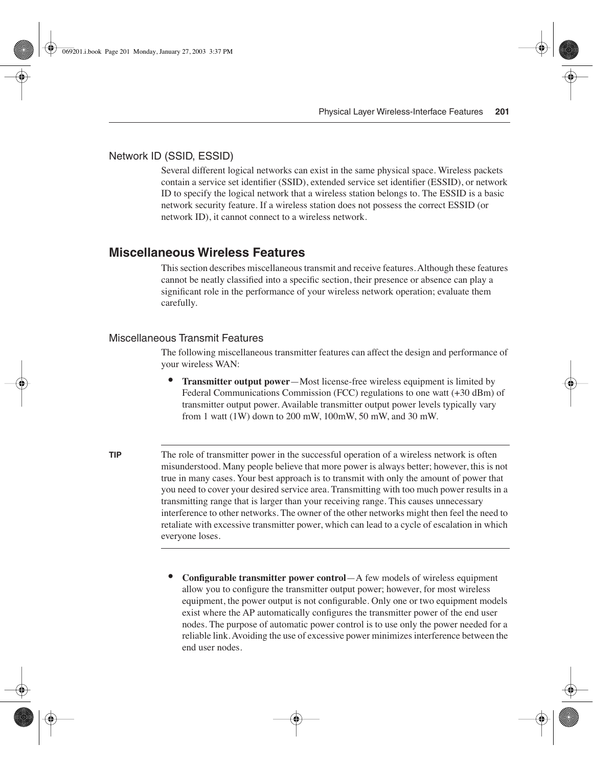#### Network ID (SSID, ESSID)

Several different logical networks can exist in the same physical space. Wireless packets contain a service set identifier (SSID), extended service set identifier (ESSID), or network ID to specify the logical network that a wireless station belongs to. The ESSID is a basic network security feature. If a wireless station does not possess the correct ESSID (or network ID), it cannot connect to a wireless network.

## **Miscellaneous Wireless Features**

This section describes miscellaneous transmit and receive features. Although these features cannot be neatly classified into a specific section, their presence or absence can play a significant role in the performance of your wireless network operation; evaluate them carefully.

#### Miscellaneous Transmit Features

The following miscellaneous transmitter features can affect the design and performance of your wireless WAN:

• **Transmitter output power**—Most license-free wireless equipment is limited by Federal Communications Commission (FCC) regulations to one watt (+30 dBm) of transmitter output power. Available transmitter output power levels typically vary from 1 watt (1W) down to 200 mW, 100mW, 50 mW, and 30 mW.

**TIP** The role of transmitter power in the successful operation of a wireless network is often misunderstood. Many people believe that more power is always better; however, this is not true in many cases. Your best approach is to transmit with only the amount of power that you need to cover your desired service area. Transmitting with too much power results in a transmitting range that is larger than your receiving range. This causes unnecessary interference to other networks. The owner of the other networks might then feel the need to retaliate with excessive transmitter power, which can lead to a cycle of escalation in which everyone loses.

> • **Configurable transmitter power control**—A few models of wireless equipment allow you to configure the transmitter output power; however, for most wireless equipment, the power output is not configurable. Only one or two equipment models exist where the AP automatically configures the transmitter power of the end user nodes. The purpose of automatic power control is to use only the power needed for a reliable link. Avoiding the use of excessive power minimizes interference between the end user nodes.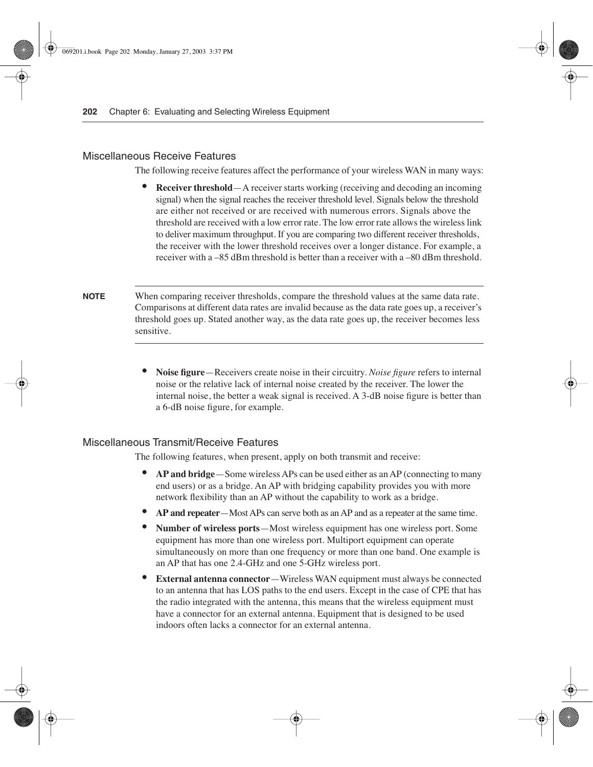#### Miscellaneous Receive Features

The following receive features affect the performance of your wireless WAN in many ways:

**Receiver threshold**—A receiver starts working (receiving and decoding an incoming signal) when the signal reaches the receiver threshold level. Signals below the threshold are either not received or are received with numerous errors. Signals above the threshold are received with a low error rate. The low error rate allows the wireless link to deliver maximum throughput. If you are comparing two different receiver thresholds, the receiver with the lower threshold receives over a longer distance. For example, a receiver with a –85 dBm threshold is better than a receiver with a –80 dBm threshold.

#### **NOTE** When comparing receiver thresholds, compare the threshold values at the same data rate. Comparisons at different data rates are invalid because as the data rate goes up, a receiver's threshold goes up. Stated another way, as the data rate goes up, the receiver becomes less sensitive.

• **Noise figure**—Receivers create noise in their circuitry. *Noise figure* refers to internal noise or the relative lack of internal noise created by the receiver. The lower the internal noise, the better a weak signal is received. A 3-dB noise figure is better than a 6-dB noise figure, for example.

#### Miscellaneous Transmit/Receive Features

The following features, when present, apply on both transmit and receive:

- **AP and bridge**—Some wireless APs can be used either as an AP (connecting to many end users) or as a bridge. An AP with bridging capability provides you with more network flexibility than an AP without the capability to work as a bridge.
- **AP and repeater**—Most APs can serve both as an AP and as a repeater at the same time.
- **Number of wireless ports**—Most wireless equipment has one wireless port. Some equipment has more than one wireless port. Multiport equipment can operate simultaneously on more than one frequency or more than one band. One example is an AP that has one 2.4-GHz and one 5-GHz wireless port.
- **External antenna connector**—Wireless WAN equipment must always be connected to an antenna that has LOS paths to the end users. Except in the case of CPE that has the radio integrated with the antenna, this means that the wireless equipment must have a connector for an external antenna. Equipment that is designed to be used indoors often lacks a connector for an external antenna.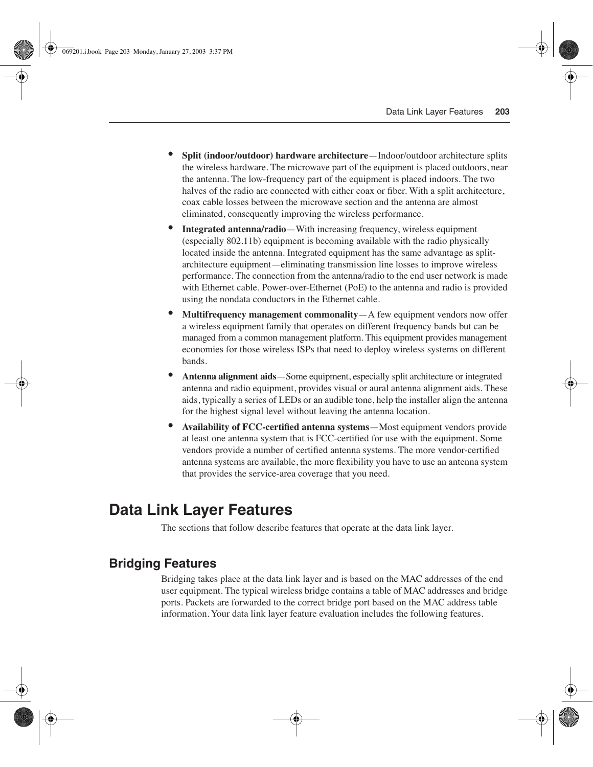- **Split (indoor/outdoor) hardware architecture**—Indoor/outdoor architecture splits the wireless hardware. The microwave part of the equipment is placed outdoors, near the antenna. The low-frequency part of the equipment is placed indoors. The two halves of the radio are connected with either coax or fiber. With a split architecture, coax cable losses between the microwave section and the antenna are almost eliminated, consequently improving the wireless performance.
- **Integrated antenna/radio**—With increasing frequency, wireless equipment (especially 802.11b) equipment is becoming available with the radio physically located inside the antenna. Integrated equipment has the same advantage as splitarchitecture equipment—eliminating transmission line losses to improve wireless performance. The connection from the antenna/radio to the end user network is made with Ethernet cable. Power-over-Ethernet (PoE) to the antenna and radio is provided using the nondata conductors in the Ethernet cable.
- **Multifrequency management commonality**—A few equipment vendors now offer a wireless equipment family that operates on different frequency bands but can be managed from a common management platform. This equipment provides management economies for those wireless ISPs that need to deploy wireless systems on different bands.
- **Antenna alignment aids**—Some equipment, especially split architecture or integrated antenna and radio equipment, provides visual or aural antenna alignment aids. These aids, typically a series of LEDs or an audible tone, help the installer align the antenna for the highest signal level without leaving the antenna location.
- **Availability of FCC-certified antenna systems**—Most equipment vendors provide at least one antenna system that is FCC-certified for use with the equipment. Some vendors provide a number of certified antenna systems. The more vendor-certified antenna systems are available, the more flexibility you have to use an antenna system that provides the service-area coverage that you need.

## **Data Link Layer Features**

The sections that follow describe features that operate at the data link layer.

## **Bridging Features**

Bridging takes place at the data link layer and is based on the MAC addresses of the end user equipment. The typical wireless bridge contains a table of MAC addresses and bridge ports. Packets are forwarded to the correct bridge port based on the MAC address table information. Your data link layer feature evaluation includes the following features.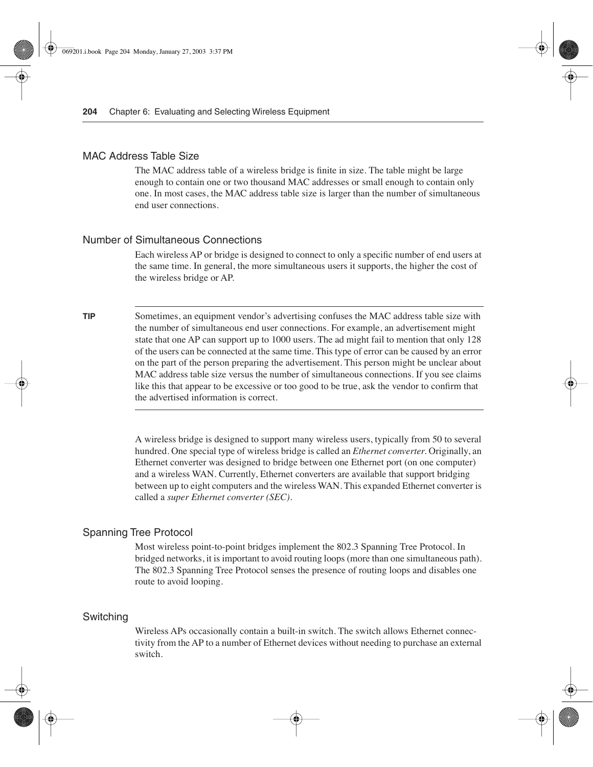#### MAC Address Table Size

The MAC address table of a wireless bridge is finite in size. The table might be large enough to contain one or two thousand MAC addresses or small enough to contain only one. In most cases, the MAC address table size is larger than the number of simultaneous end user connections.

#### Number of Simultaneous Connections

Each wireless AP or bridge is designed to connect to only a specific number of end users at the same time. In general, the more simultaneous users it supports, the higher the cost of the wireless bridge or AP.

**TIP** Sometimes, an equipment vendor's advertising confuses the MAC address table size with the number of simultaneous end user connections. For example, an advertisement might state that one AP can support up to 1000 users. The ad might fail to mention that only 128 of the users can be connected at the same time. This type of error can be caused by an error on the part of the person preparing the advertisement. This person might be unclear about MAC address table size versus the number of simultaneous connections. If you see claims like this that appear to be excessive or too good to be true, ask the vendor to confirm that the advertised information is correct.

> A wireless bridge is designed to support many wireless users, typically from 50 to several hundred. One special type of wireless bridge is called an *Ethernet converter*. Originally, an Ethernet converter was designed to bridge between one Ethernet port (on one computer) and a wireless WAN. Currently, Ethernet converters are available that support bridging between up to eight computers and the wireless WAN. This expanded Ethernet converter is called a *super Ethernet converter (SEC)*.

#### Spanning Tree Protocol

Most wireless point-to-point bridges implement the 802.3 Spanning Tree Protocol. In bridged networks, it is important to avoid routing loops (more than one simultaneous path). The 802.3 Spanning Tree Protocol senses the presence of routing loops and disables one route to avoid looping.

#### Switching

Wireless APs occasionally contain a built-in switch. The switch allows Ethernet connectivity from the AP to a number of Ethernet devices without needing to purchase an external switch.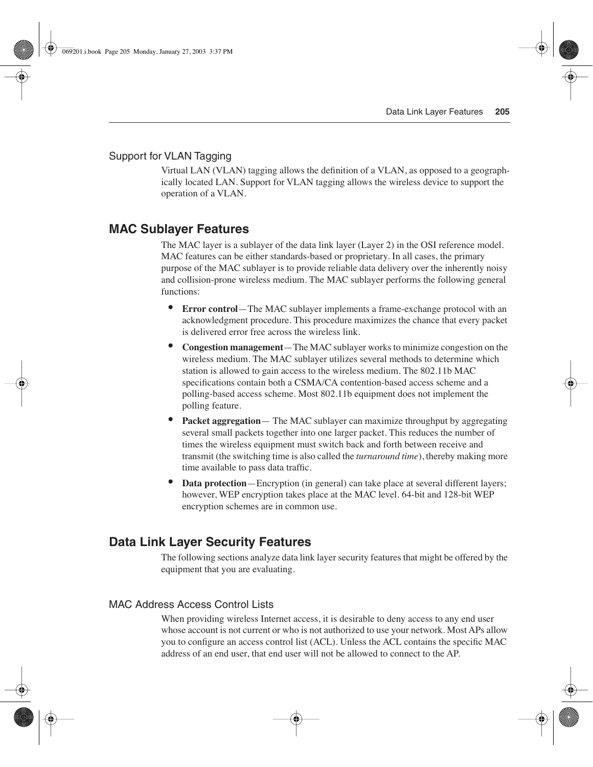#### Support for VLAN Tagging

Virtual LAN (VLAN) tagging allows the definition of a VLAN, as opposed to a geographically located LAN. Support for VLAN tagging allows the wireless device to support the operation of a VLAN.

## **MAC Sublayer Features**

The MAC layer is a sublayer of the data link layer (Layer 2) in the OSI reference model. MAC features can be either standards-based or proprietary. In all cases, the primary purpose of the MAC sublayer is to provide reliable data delivery over the inherently noisy and collision-prone wireless medium. The MAC sublayer performs the following general functions:

- **Error control**—The MAC sublayer implements a frame-exchange protocol with an acknowledgment procedure. This procedure maximizes the chance that every packet is delivered error free across the wireless link.
- **Congestion management**—The MAC sublayer works to minimize congestion on the wireless medium. The MAC sublayer utilizes several methods to determine which station is allowed to gain access to the wireless medium. The 802.11b MAC specifications contain both a CSMA/CA contention-based access scheme and a polling-based access scheme. Most 802.11b equipment does not implement the polling feature.
- **Packet aggregation** The MAC sublayer can maximize throughput by aggregating several small packets together into one larger packet. This reduces the number of times the wireless equipment must switch back and forth between receive and transmit (the switching time is also called the *turnaround time*), thereby making more time available to pass data traffic.
- **Data protection**—Encryption (in general) can take place at several different layers; however, WEP encryption takes place at the MAC level. 64-bit and 128-bit WEP encryption schemes are in common use.

## **Data Link Layer Security Features**

The following sections analyze data link layer security features that might be offered by the equipment that you are evaluating.

#### MAC Address Access Control Lists

When providing wireless Internet access, it is desirable to deny access to any end user whose account is not current or who is not authorized to use your network. Most APs allow you to configure an access control list (ACL). Unless the ACL contains the specific MAC address of an end user, that end user will not be allowed to connect to the AP.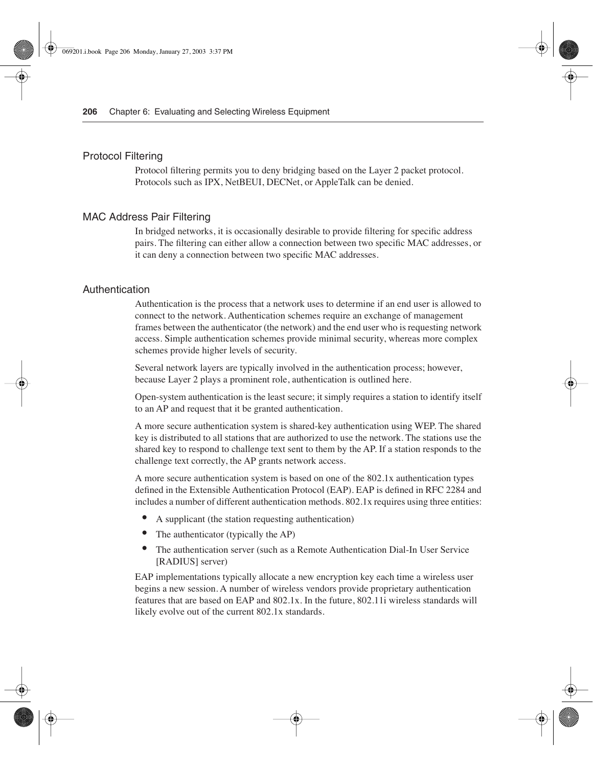#### Protocol Filtering

Protocol filtering permits you to deny bridging based on the Layer 2 packet protocol. Protocols such as IPX, NetBEUI, DECNet, or AppleTalk can be denied.

#### MAC Address Pair Filtering

In bridged networks, it is occasionally desirable to provide filtering for specific address pairs. The filtering can either allow a connection between two specific MAC addresses, or it can deny a connection between two specific MAC addresses.

#### Authentication

Authentication is the process that a network uses to determine if an end user is allowed to connect to the network. Authentication schemes require an exchange of management frames between the authenticator (the network) and the end user who is requesting network access. Simple authentication schemes provide minimal security, whereas more complex schemes provide higher levels of security.

Several network layers are typically involved in the authentication process; however, because Layer 2 plays a prominent role, authentication is outlined here.

Open-system authentication is the least secure; it simply requires a station to identify itself to an AP and request that it be granted authentication.

A more secure authentication system is shared-key authentication using WEP. The shared key is distributed to all stations that are authorized to use the network. The stations use the shared key to respond to challenge text sent to them by the AP. If a station responds to the challenge text correctly, the AP grants network access.

A more secure authentication system is based on one of the 802.1x authentication types defined in the Extensible Authentication Protocol (EAP). EAP is defined in RFC 2284 and includes a number of different authentication methods. 802.1x requires using three entities:

- A supplicant (the station requesting authentication)
- The authenticator (typically the AP)
- The authentication server (such as a Remote Authentication Dial-In User Service [RADIUS] server)

EAP implementations typically allocate a new encryption key each time a wireless user begins a new session. A number of wireless vendors provide proprietary authentication features that are based on EAP and 802.1x. In the future, 802.11i wireless standards will likely evolve out of the current 802.1x standards.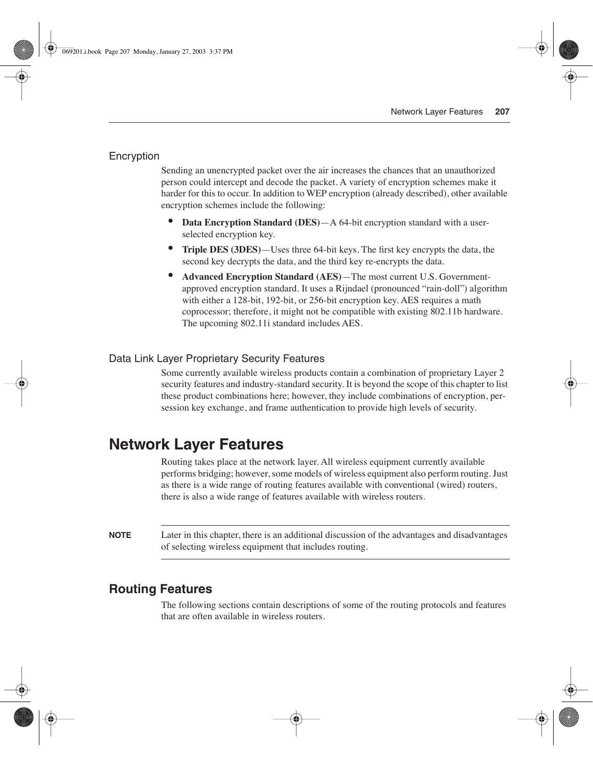#### Encryption

Sending an unencrypted packet over the air increases the chances that an unauthorized person could intercept and decode the packet. A variety of encryption schemes make it harder for this to occur. In addition to WEP encryption (already described), other available encryption schemes include the following:

- **Data Encryption Standard (DES)**—A 64-bit encryption standard with a userselected encryption key.
- **Triple DES (3DES)**—Uses three 64-bit keys. The first key encrypts the data, the second key decrypts the data, and the third key re-encrypts the data.
- **Advanced Encryption Standard (AES)**—The most current U.S. Governmentapproved encryption standard. It uses a Rijndael (pronounced "rain-doll") algorithm with either a 128-bit, 192-bit, or 256-bit encryption key. AES requires a math coprocessor; therefore, it might not be compatible with existing 802.11b hardware. The upcoming 802.11i standard includes AES.

#### Data Link Layer Proprietary Security Features

Some currently available wireless products contain a combination of proprietary Layer 2 security features and industry-standard security. It is beyond the scope of this chapter to list these product combinations here; however, they include combinations of encryption, persession key exchange, and frame authentication to provide high levels of security.

## **Network Layer Features**

Routing takes place at the network layer. All wireless equipment currently available performs bridging; however, some models of wireless equipment also perform routing. Just as there is a wide range of routing features available with conventional (wired) routers, there is also a wide range of features available with wireless routers.

**NOTE** Later in this chapter, there is an additional discussion of the advantages and disadvantages of selecting wireless equipment that includes routing.

## **Routing Features**

The following sections contain descriptions of some of the routing protocols and features that are often available in wireless routers.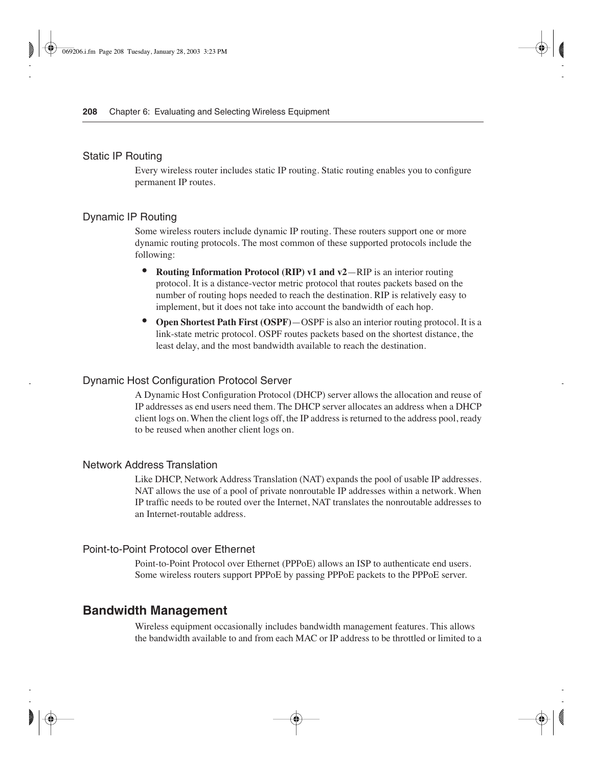#### Static IP Routing

Every wireless router includes static IP routing. Static routing enables you to configure permanent IP routes.

#### Dynamic IP Routing

Some wireless routers include dynamic IP routing. These routers support one or more dynamic routing protocols. The most common of these supported protocols include the following:

- **Routing Information Protocol (RIP) v1 and v2**—RIP is an interior routing protocol. It is a distance-vector metric protocol that routes packets based on the number of routing hops needed to reach the destination. RIP is relatively easy to implement, but it does not take into account the bandwidth of each hop.
- **Open Shortest Path First (OSPF)**—OSPF is also an interior routing protocol. It is a link-state metric protocol. OSPF routes packets based on the shortest distance, the least delay, and the most bandwidth available to reach the destination.

#### Dynamic Host Configuration Protocol Server

A Dynamic Host Configuration Protocol (DHCP) server allows the allocation and reuse of IP addresses as end users need them. The DHCP server allocates an address when a DHCP client logs on. When the client logs off, the IP address is returned to the address pool, ready to be reused when another client logs on.

#### Network Address Translation

Like DHCP, Network Address Translation (NAT) expands the pool of usable IP addresses. NAT allows the use of a pool of private nonroutable IP addresses within a network. When IP traffic needs to be routed over the Internet, NAT translates the nonroutable addresses to an Internet-routable address.

#### Point-to-Point Protocol over Ethernet

Point-to-Point Protocol over Ethernet (PPPoE) allows an ISP to authenticate end users. Some wireless routers support PPPoE by passing PPPoE packets to the PPPoE server.

## **Bandwidth Management**

Wireless equipment occasionally includes bandwidth management features. This allows the bandwidth available to and from each MAC or IP address to be throttled or limited to a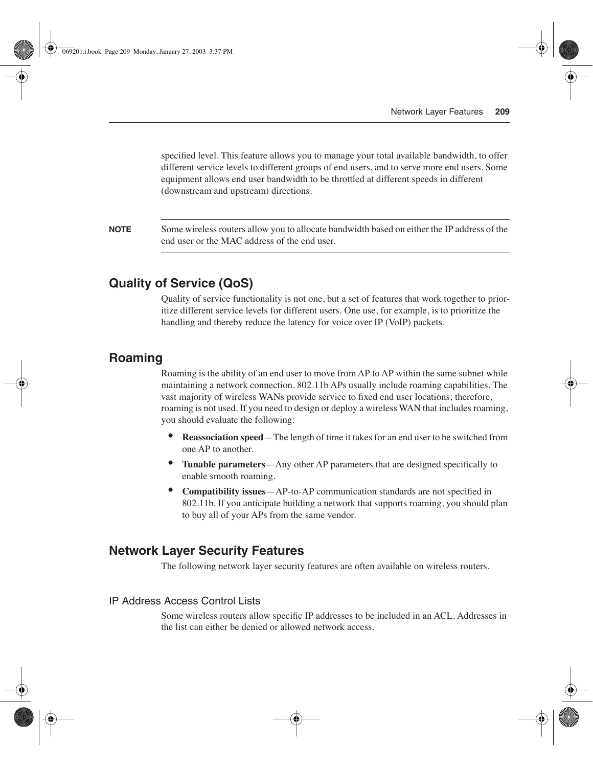specified level. This feature allows you to manage your total available bandwidth, to offer different service levels to different groups of end users, and to serve more end users. Some equipment allows end user bandwidth to be throttled at different speeds in different (downstream and upstream) directions.

**NOTE** Some wireless routers allow you to allocate bandwidth based on either the IP address of the end user or the MAC address of the end user.

## **Quality of Service (QoS)**

Quality of service functionality is not one, but a set of features that work together to prioritize different service levels for different users. One use, for example, is to prioritize the handling and thereby reduce the latency for voice over IP (VoIP) packets.

## **Roaming**

Roaming is the ability of an end user to move from AP to AP within the same subnet while maintaining a network connection. 802.11b APs usually include roaming capabilities. The vast majority of wireless WANs provide service to fixed end user locations; therefore, roaming is not used. If you need to design or deploy a wireless WAN that includes roaming, you should evaluate the following:

- **Reassociation speed**—The length of time it takes for an end user to be switched from one AP to another.
- **Tunable parameters**—Any other AP parameters that are designed specifically to enable smooth roaming.
- **Compatibility issues**—AP-to-AP communication standards are not specified in 802.11b. If you anticipate building a network that supports roaming, you should plan to buy all of your APs from the same vendor.

## **Network Layer Security Features**

The following network layer security features are often available on wireless routers.

#### IP Address Access Control Lists

Some wireless routers allow specific IP addresses to be included in an ACL. Addresses in the list can either be denied or allowed network access.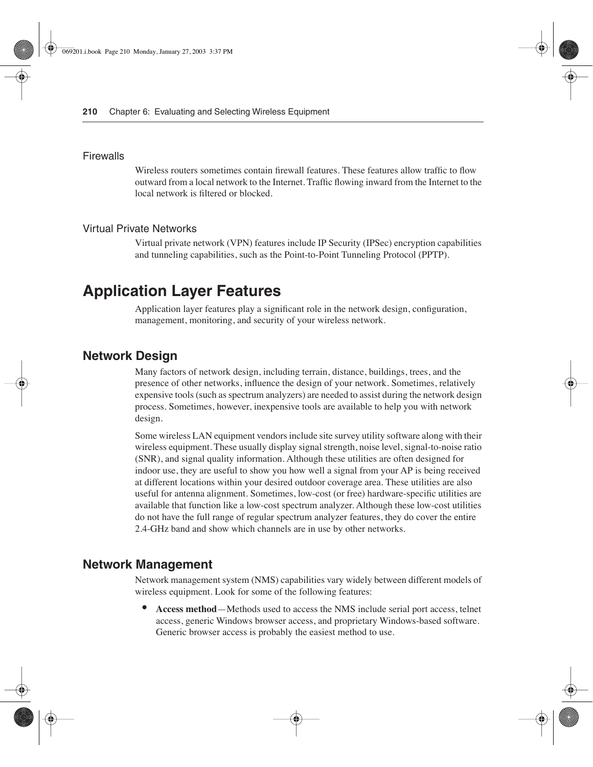#### **Firewalls**

Wireless routers sometimes contain firewall features. These features allow traffic to flow outward from a local network to the Internet. Traffic flowing inward from the Internet to the local network is filtered or blocked.

#### Virtual Private Networks

Virtual private network (VPN) features include IP Security (IPSec) encryption capabilities and tunneling capabilities, such as the Point-to-Point Tunneling Protocol (PPTP).

## **Application Layer Features**

Application layer features play a significant role in the network design, configuration, management, monitoring, and security of your wireless network.

## **Network Design**

Many factors of network design, including terrain, distance, buildings, trees, and the presence of other networks, influence the design of your network. Sometimes, relatively expensive tools (such as spectrum analyzers) are needed to assist during the network design process. Sometimes, however, inexpensive tools are available to help you with network design.

Some wireless LAN equipment vendors include site survey utility software along with their wireless equipment. These usually display signal strength, noise level, signal-to-noise ratio (SNR), and signal quality information. Although these utilities are often designed for indoor use, they are useful to show you how well a signal from your AP is being received at different locations within your desired outdoor coverage area. These utilities are also useful for antenna alignment. Sometimes, low-cost (or free) hardware-specific utilities are available that function like a low-cost spectrum analyzer. Although these low-cost utilities do not have the full range of regular spectrum analyzer features, they do cover the entire 2.4-GHz band and show which channels are in use by other networks.

## **Network Management**

Network management system (NMS) capabilities vary widely between different models of wireless equipment. Look for some of the following features:

• **Access method**—Methods used to access the NMS include serial port access, telnet access, generic Windows browser access, and proprietary Windows-based software. Generic browser access is probably the easiest method to use.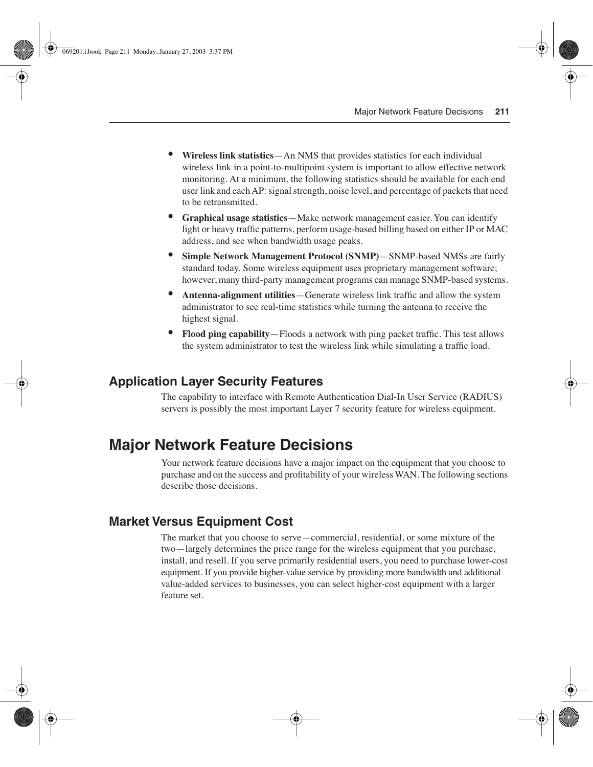- **Wireless link statistics**—An NMS that provides statistics for each individual wireless link in a point-to-multipoint system is important to allow effective network monitoring. At a minimum, the following statistics should be available for each end user link and each AP: signal strength, noise level, and percentage of packets that need to be retransmitted.
- **Graphical usage statistics**—Make network management easier. You can identify light or heavy traffic patterns, perform usage-based billing based on either IP or MAC address, and see when bandwidth usage peaks.
- **Simple Network Management Protocol (SNMP)**—SNMP-based NMSs are fairly standard today. Some wireless equipment uses proprietary management software; however, many third-party management programs can manage SNMP-based systems.
- **Antenna-alignment utilities**—Generate wireless link traffic and allow the system administrator to see real-time statistics while turning the antenna to receive the highest signal.
- **Flood ping capability**—Floods a network with ping packet traffic. This test allows the system administrator to test the wireless link while simulating a traffic load.

## **Application Layer Security Features**

The capability to interface with Remote Authentication Dial-In User Service (RADIUS) servers is possibly the most important Layer 7 security feature for wireless equipment.

## **Major Network Feature Decisions**

Your network feature decisions have a major impact on the equipment that you choose to purchase and on the success and profitability of your wireless WAN. The following sections describe those decisions.

## **Market Versus Equipment Cost**

The market that you choose to serve—commercial, residential, or some mixture of the two—largely determines the price range for the wireless equipment that you purchase, install, and resell. If you serve primarily residential users, you need to purchase lower-cost equipment. If you provide higher-value service by providing more bandwidth and additional value-added services to businesses, you can select higher-cost equipment with a larger feature set.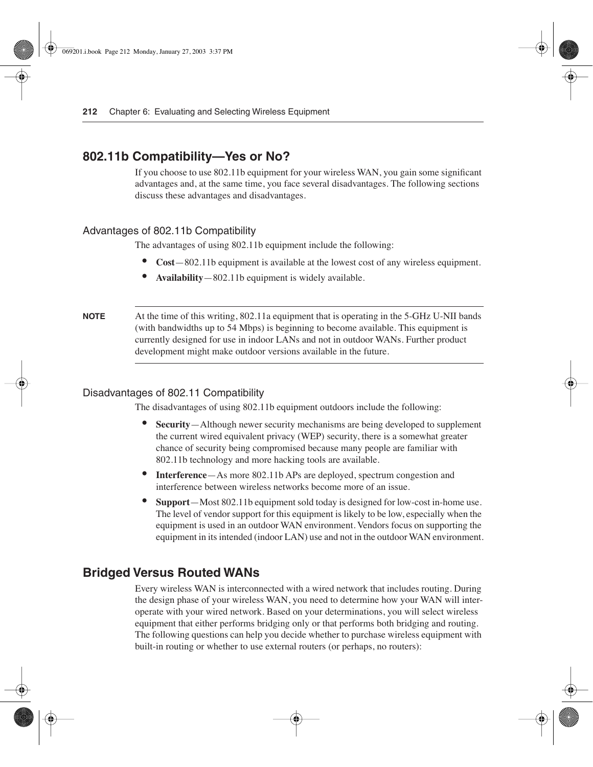## **802.11b Compatibility—Yes or No?**

If you choose to use 802.11b equipment for your wireless WAN, you gain some significant advantages and, at the same time, you face several disadvantages. The following sections discuss these advantages and disadvantages.

#### Advantages of 802.11b Compatibility

The advantages of using 802.11b equipment include the following:

- **Cost**  $-802.11b$  equipment is available at the lowest cost of any wireless equipment.
- **Availability**—802.11b equipment is widely available.

**NOTE** At the time of this writing, 802.11a equipment that is operating in the 5-GHz U-NII bands (with bandwidths up to 54 Mbps) is beginning to become available. This equipment is currently designed for use in indoor LANs and not in outdoor WANs. Further product development might make outdoor versions available in the future.

#### Disadvantages of 802.11 Compatibility

The disadvantages of using 802.11b equipment outdoors include the following:

- **Security**—Although newer security mechanisms are being developed to supplement the current wired equivalent privacy (WEP) security, there is a somewhat greater chance of security being compromised because many people are familiar with 802.11b technology and more hacking tools are available.
- **Interference**—As more 802.11b APs are deployed, spectrum congestion and interference between wireless networks become more of an issue.
- **Support**—Most 802.11b equipment sold today is designed for low-cost in-home use. The level of vendor support for this equipment is likely to be low, especially when the equipment is used in an outdoor WAN environment. Vendors focus on supporting the equipment in its intended (indoor LAN) use and not in the outdoor WAN environment.

## **Bridged Versus Routed WANs**

Every wireless WAN is interconnected with a wired network that includes routing. During the design phase of your wireless WAN, you need to determine how your WAN will interoperate with your wired network. Based on your determinations, you will select wireless equipment that either performs bridging only or that performs both bridging and routing. The following questions can help you decide whether to purchase wireless equipment with built-in routing or whether to use external routers (or perhaps, no routers):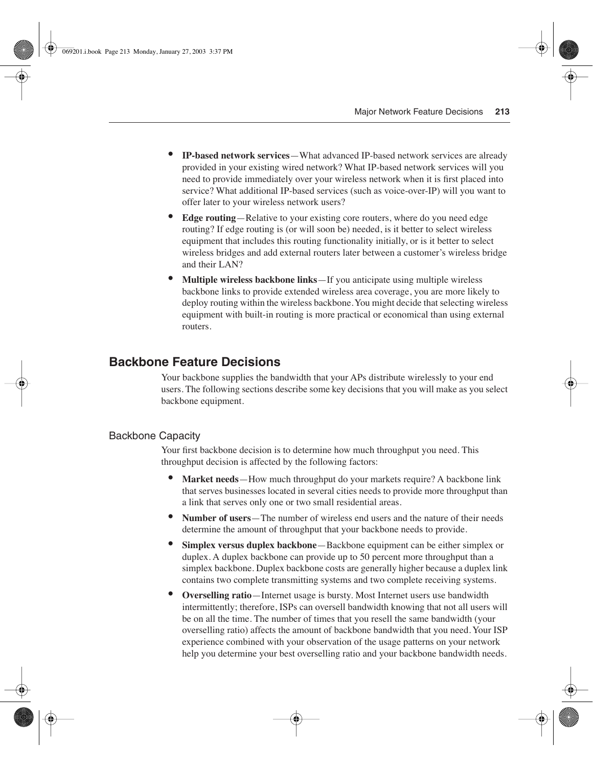- **IP-based network services**—What advanced IP-based network services are already provided in your existing wired network? What IP-based network services will you need to provide immediately over your wireless network when it is first placed into service? What additional IP-based services (such as voice-over-IP) will you want to offer later to your wireless network users?
- **Edge routing**—Relative to your existing core routers, where do you need edge routing? If edge routing is (or will soon be) needed, is it better to select wireless equipment that includes this routing functionality initially, or is it better to select wireless bridges and add external routers later between a customer's wireless bridge and their LAN?
- **Multiple wireless backbone links**—If you anticipate using multiple wireless backbone links to provide extended wireless area coverage, you are more likely to deploy routing within the wireless backbone. You might decide that selecting wireless equipment with built-in routing is more practical or economical than using external routers.

## **Backbone Feature Decisions**

Your backbone supplies the bandwidth that your APs distribute wirelessly to your end users. The following sections describe some key decisions that you will make as you select backbone equipment.

#### Backbone Capacity

Your first backbone decision is to determine how much throughput you need. This throughput decision is affected by the following factors:

- **Market needs**—How much throughput do your markets require? A backbone link that serves businesses located in several cities needs to provide more throughput than a link that serves only one or two small residential areas.
- **Number of users**—The number of wireless end users and the nature of their needs determine the amount of throughput that your backbone needs to provide.
- **Simplex versus duplex backbone**—Backbone equipment can be either simplex or duplex. A duplex backbone can provide up to 50 percent more throughput than a simplex backbone. Duplex backbone costs are generally higher because a duplex link contains two complete transmitting systems and two complete receiving systems.
- **Overselling ratio**—Internet usage is bursty. Most Internet users use bandwidth intermittently; therefore, ISPs can oversell bandwidth knowing that not all users will be on all the time. The number of times that you resell the same bandwidth (your overselling ratio) affects the amount of backbone bandwidth that you need. Your ISP experience combined with your observation of the usage patterns on your network help you determine your best overselling ratio and your backbone bandwidth needs.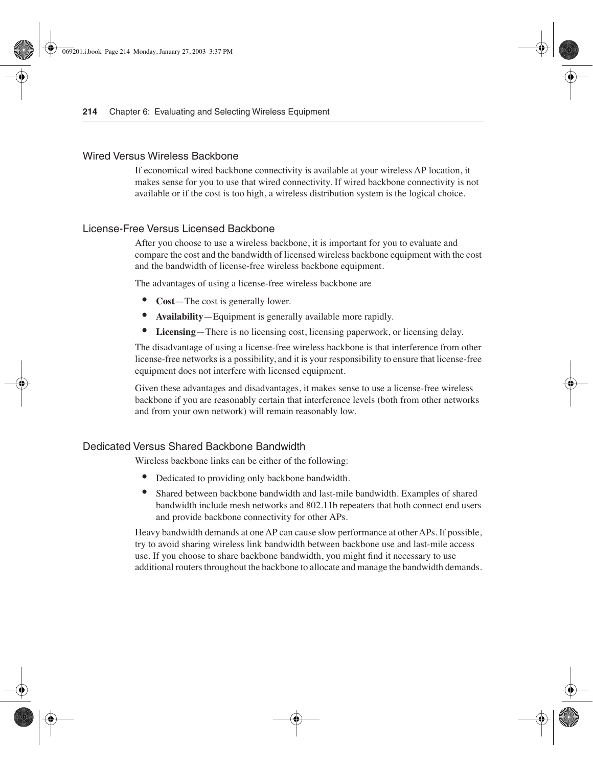#### Wired Versus Wireless Backbone

If economical wired backbone connectivity is available at your wireless AP location, it makes sense for you to use that wired connectivity. If wired backbone connectivity is not available or if the cost is too high, a wireless distribution system is the logical choice.

#### License-Free Versus Licensed Backbone

After you choose to use a wireless backbone, it is important for you to evaluate and compare the cost and the bandwidth of licensed wireless backbone equipment with the cost and the bandwidth of license-free wireless backbone equipment.

The advantages of using a license-free wireless backbone are

- **Cost**—The cost is generally lower.
- **Availability**—Equipment is generally available more rapidly.
- **Licensing**—There is no licensing cost, licensing paperwork, or licensing delay.

The disadvantage of using a license-free wireless backbone is that interference from other license-free networks is a possibility, and it is your responsibility to ensure that license-free equipment does not interfere with licensed equipment.

Given these advantages and disadvantages, it makes sense to use a license-free wireless backbone if you are reasonably certain that interference levels (both from other networks and from your own network) will remain reasonably low.

#### Dedicated Versus Shared Backbone Bandwidth

Wireless backbone links can be either of the following:

- Dedicated to providing only backbone bandwidth.
- Shared between backbone bandwidth and last-mile bandwidth. Examples of shared bandwidth include mesh networks and 802.11b repeaters that both connect end users and provide backbone connectivity for other APs.

Heavy bandwidth demands at one AP can cause slow performance at other APs. If possible, try to avoid sharing wireless link bandwidth between backbone use and last-mile access use. If you choose to share backbone bandwidth, you might find it necessary to use additional routers throughout the backbone to allocate and manage the bandwidth demands.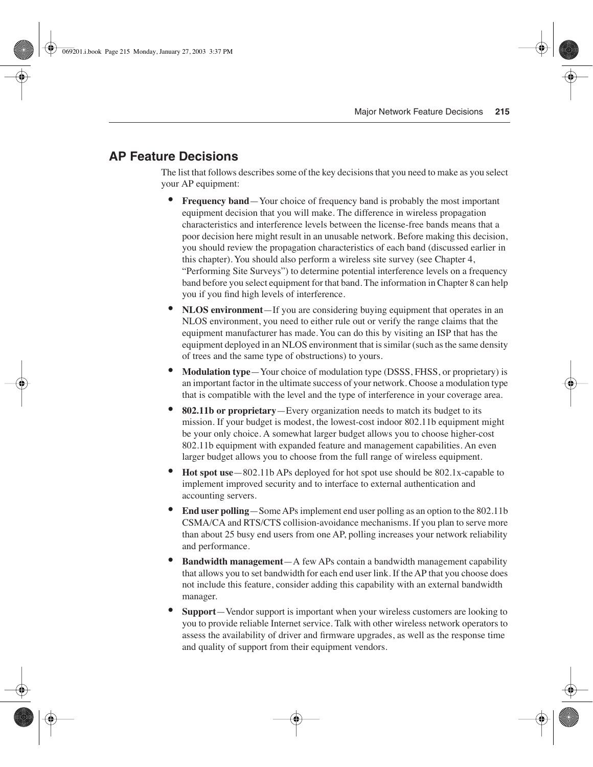## **AP Feature Decisions**

The list that follows describes some of the key decisions that you need to make as you select your AP equipment:

- **Frequency band**—Your choice of frequency band is probably the most important equipment decision that you will make. The difference in wireless propagation characteristics and interference levels between the license-free bands means that a poor decision here might result in an unusable network. Before making this decision, you should review the propagation characteristics of each band (discussed earlier in this chapter). You should also perform a wireless site survey (see Chapter 4, "Performing Site Surveys") to determine potential interference levels on a frequency band before you select equipment for that band. The information in Chapter 8 can help you if you find high levels of interference.
- **NLOS environment**—If you are considering buying equipment that operates in an NLOS environment, you need to either rule out or verify the range claims that the equipment manufacturer has made. You can do this by visiting an ISP that has the equipment deployed in an NLOS environment that is similar (such as the same density of trees and the same type of obstructions) to yours.
- **Modulation type**—Your choice of modulation type (DSSS, FHSS, or proprietary) is an important factor in the ultimate success of your network. Choose a modulation type that is compatible with the level and the type of interference in your coverage area.
- **802.11b or proprietary**—Every organization needs to match its budget to its mission. If your budget is modest, the lowest-cost indoor 802.11b equipment might be your only choice. A somewhat larger budget allows you to choose higher-cost 802.11b equipment with expanded feature and management capabilities. An even larger budget allows you to choose from the full range of wireless equipment.
- **Hot spot use**—802.11b APs deployed for hot spot use should be 802.1x-capable to implement improved security and to interface to external authentication and accounting servers.
- **End user polling**—Some APs implement end user polling as an option to the 802.11b CSMA/CA and RTS/CTS collision-avoidance mechanisms. If you plan to serve more than about 25 busy end users from one AP, polling increases your network reliability and performance.
- **Bandwidth management**—A few APs contain a bandwidth management capability that allows you to set bandwidth for each end user link. If the AP that you choose does not include this feature, consider adding this capability with an external bandwidth manager.
- **Support**—Vendor support is important when your wireless customers are looking to you to provide reliable Internet service. Talk with other wireless network operators to assess the availability of driver and firmware upgrades, as well as the response time and quality of support from their equipment vendors.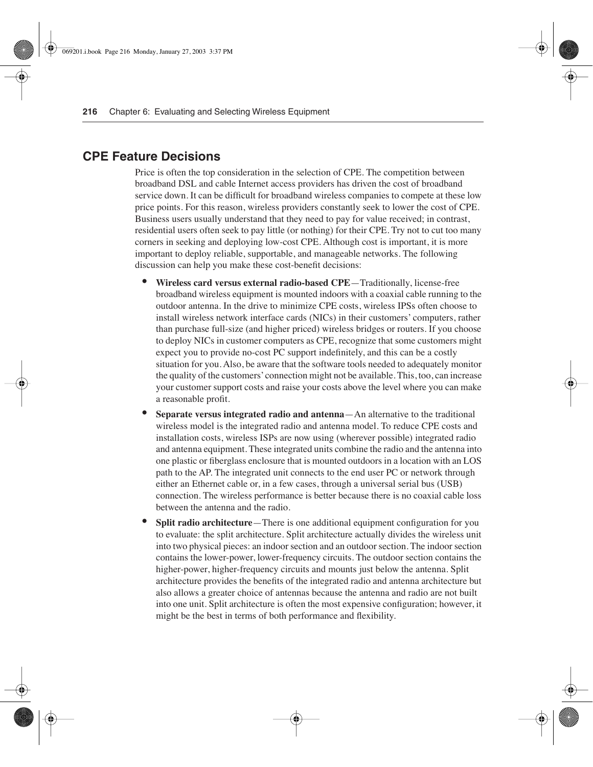#### **CPE Feature Decisions**

Price is often the top consideration in the selection of CPE. The competition between broadband DSL and cable Internet access providers has driven the cost of broadband service down. It can be difficult for broadband wireless companies to compete at these low price points. For this reason, wireless providers constantly seek to lower the cost of CPE. Business users usually understand that they need to pay for value received; in contrast, residential users often seek to pay little (or nothing) for their CPE. Try not to cut too many corners in seeking and deploying low-cost CPE. Although cost is important, it is more important to deploy reliable, supportable, and manageable networks. The following discussion can help you make these cost-benefit decisions:

- **Wireless card versus external radio-based CPE**—Traditionally, license-free broadband wireless equipment is mounted indoors with a coaxial cable running to the outdoor antenna. In the drive to minimize CPE costs, wireless IPSs often choose to install wireless network interface cards (NICs) in their customers' computers, rather than purchase full-size (and higher priced) wireless bridges or routers. If you choose to deploy NICs in customer computers as CPE, recognize that some customers might expect you to provide no-cost PC support indefinitely, and this can be a costly situation for you. Also, be aware that the software tools needed to adequately monitor the quality of the customers' connection might not be available. This, too, can increase your customer support costs and raise your costs above the level where you can make a reasonable profit.
- **Separate versus integrated radio and antenna**—An alternative to the traditional wireless model is the integrated radio and antenna model. To reduce CPE costs and installation costs, wireless ISPs are now using (wherever possible) integrated radio and antenna equipment. These integrated units combine the radio and the antenna into one plastic or fiberglass enclosure that is mounted outdoors in a location with an LOS path to the AP. The integrated unit connects to the end user PC or network through either an Ethernet cable or, in a few cases, through a universal serial bus (USB) connection. The wireless performance is better because there is no coaxial cable loss between the antenna and the radio.
- **Split radio architecture**—There is one additional equipment configuration for you to evaluate: the split architecture. Split architecture actually divides the wireless unit into two physical pieces: an indoor section and an outdoor section. The indoor section contains the lower-power, lower-frequency circuits. The outdoor section contains the higher-power, higher-frequency circuits and mounts just below the antenna. Split architecture provides the benefits of the integrated radio and antenna architecture but also allows a greater choice of antennas because the antenna and radio are not built into one unit. Split architecture is often the most expensive configuration; however, it might be the best in terms of both performance and flexibility.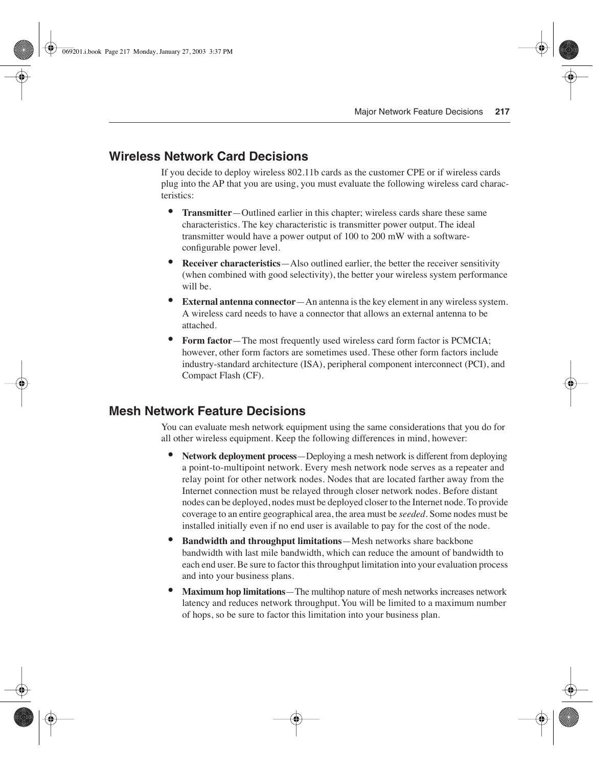## **Wireless Network Card Decisions**

If you decide to deploy wireless 802.11b cards as the customer CPE or if wireless cards plug into the AP that you are using, you must evaluate the following wireless card characteristics:

- **Transmitter**—Outlined earlier in this chapter; wireless cards share these same characteristics. The key characteristic is transmitter power output. The ideal transmitter would have a power output of 100 to 200 mW with a softwareconfigurable power level.
- **Receiver characteristics**—Also outlined earlier, the better the receiver sensitivity (when combined with good selectivity), the better your wireless system performance will be.
- **External antenna connector**—An antenna is the key element in any wireless system. A wireless card needs to have a connector that allows an external antenna to be attached.
- **Form factor**—The most frequently used wireless card form factor is PCMCIA; however, other form factors are sometimes used. These other form factors include industry-standard architecture (ISA), peripheral component interconnect (PCI), and Compact Flash (CF).

## **Mesh Network Feature Decisions**

You can evaluate mesh network equipment using the same considerations that you do for all other wireless equipment. Keep the following differences in mind, however:

- **Network deployment process**—Deploying a mesh network is different from deploying a point-to-multipoint network. Every mesh network node serves as a repeater and relay point for other network nodes. Nodes that are located farther away from the Internet connection must be relayed through closer network nodes. Before distant nodes can be deployed, nodes must be deployed closer to the Internet node. To provide coverage to an entire geographical area, the area must be *seeded*. Some nodes must be installed initially even if no end user is available to pay for the cost of the node.
- **Bandwidth and throughput limitations**—Mesh networks share backbone bandwidth with last mile bandwidth, which can reduce the amount of bandwidth to each end user. Be sure to factor this throughput limitation into your evaluation process and into your business plans.
- **Maximum hop limitations**—The multihop nature of mesh networks increases network latency and reduces network throughput. You will be limited to a maximum number of hops, so be sure to factor this limitation into your business plan.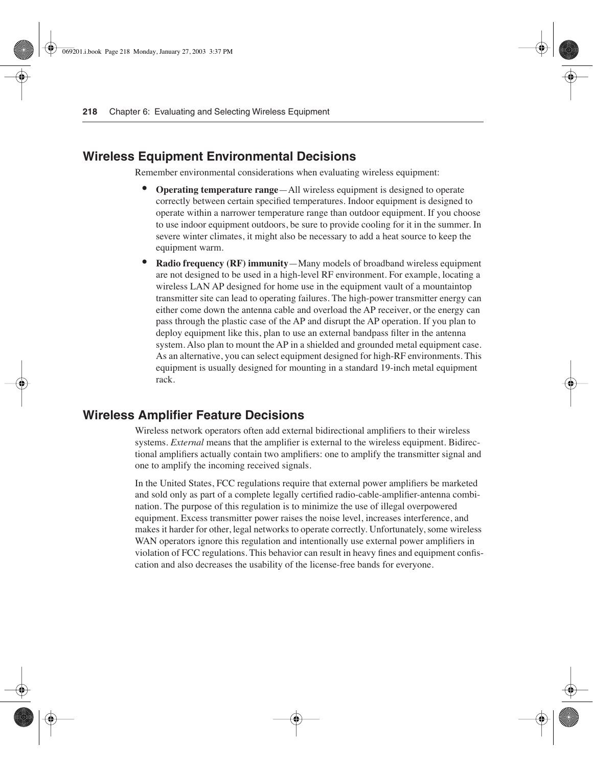## **Wireless Equipment Environmental Decisions**

Remember environmental considerations when evaluating wireless equipment:

- **Operating temperature range**—All wireless equipment is designed to operate correctly between certain specified temperatures. Indoor equipment is designed to operate within a narrower temperature range than outdoor equipment. If you choose to use indoor equipment outdoors, be sure to provide cooling for it in the summer. In severe winter climates, it might also be necessary to add a heat source to keep the equipment warm.
- **Radio frequency (RF) immunity**—Many models of broadband wireless equipment are not designed to be used in a high-level RF environment. For example, locating a wireless LAN AP designed for home use in the equipment vault of a mountaintop transmitter site can lead to operating failures. The high-power transmitter energy can either come down the antenna cable and overload the AP receiver, or the energy can pass through the plastic case of the AP and disrupt the AP operation. If you plan to deploy equipment like this, plan to use an external bandpass filter in the antenna system. Also plan to mount the AP in a shielded and grounded metal equipment case. As an alternative, you can select equipment designed for high-RF environments. This equipment is usually designed for mounting in a standard 19-inch metal equipment rack.

## **Wireless Amplifier Feature Decisions**

Wireless network operators often add external bidirectional amplifiers to their wireless systems. *External* means that the amplifier is external to the wireless equipment. Bidirectional amplifiers actually contain two amplifiers: one to amplify the transmitter signal and one to amplify the incoming received signals.

In the United States, FCC regulations require that external power amplifiers be marketed and sold only as part of a complete legally certified radio-cable-amplifier-antenna combination. The purpose of this regulation is to minimize the use of illegal overpowered equipment. Excess transmitter power raises the noise level, increases interference, and makes it harder for other, legal networks to operate correctly. Unfortunately, some wireless WAN operators ignore this regulation and intentionally use external power amplifiers in violation of FCC regulations. This behavior can result in heavy fines and equipment confiscation and also decreases the usability of the license-free bands for everyone.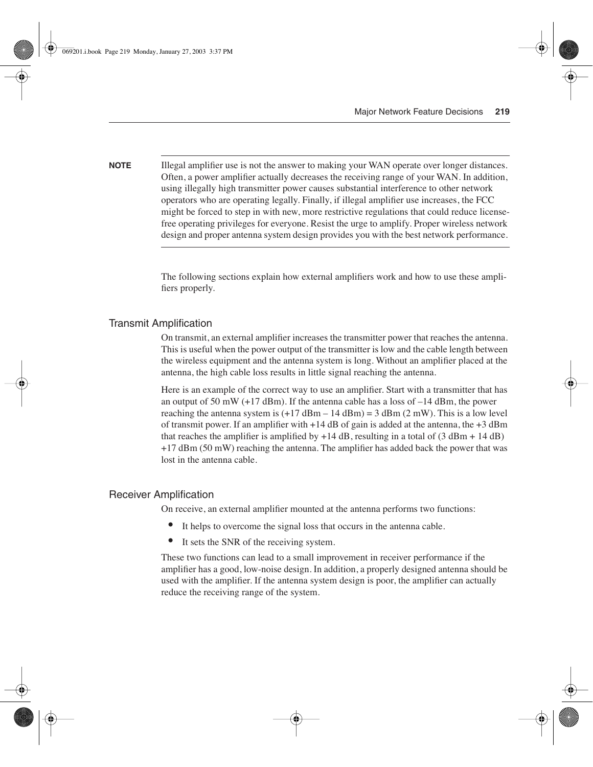**NOTE** Illegal amplifier use is not the answer to making your WAN operate over longer distances. Often, a power amplifier actually decreases the receiving range of your WAN. In addition, using illegally high transmitter power causes substantial interference to other network operators who are operating legally. Finally, if illegal amplifier use increases, the FCC might be forced to step in with new, more restrictive regulations that could reduce licensefree operating privileges for everyone. Resist the urge to amplify. Proper wireless network design and proper antenna system design provides you with the best network performance.

> The following sections explain how external amplifiers work and how to use these amplifiers properly.

#### Transmit Amplification

On transmit, an external amplifier increases the transmitter power that reaches the antenna. This is useful when the power output of the transmitter is low and the cable length between the wireless equipment and the antenna system is long. Without an amplifier placed at the antenna, the high cable loss results in little signal reaching the antenna.

Here is an example of the correct way to use an amplifier. Start with a transmitter that has an output of 50 mW ( $+17$  dBm). If the antenna cable has a loss of  $-14$  dBm, the power reaching the antenna system is  $(+17 \text{ dBm} - 14 \text{ dBm}) = 3 \text{ dBm} (2 \text{ mW})$ . This is a low level of transmit power. If an amplifier with  $+14$  dB of gain is added at the antenna, the  $+3$  dBm that reaches the amplifier is amplified by  $+14$  dB, resulting in a total of  $(3 \text{ dBm} + 14 \text{ dB})$ +17 dBm (50 mW) reaching the antenna. The amplifier has added back the power that was lost in the antenna cable.

#### Receiver Amplification

On receive, an external amplifier mounted at the antenna performs two functions:

- It helps to overcome the signal loss that occurs in the antenna cable.
- It sets the SNR of the receiving system.

These two functions can lead to a small improvement in receiver performance if the amplifier has a good, low-noise design. In addition, a properly designed antenna should be used with the amplifier. If the antenna system design is poor, the amplifier can actually reduce the receiving range of the system.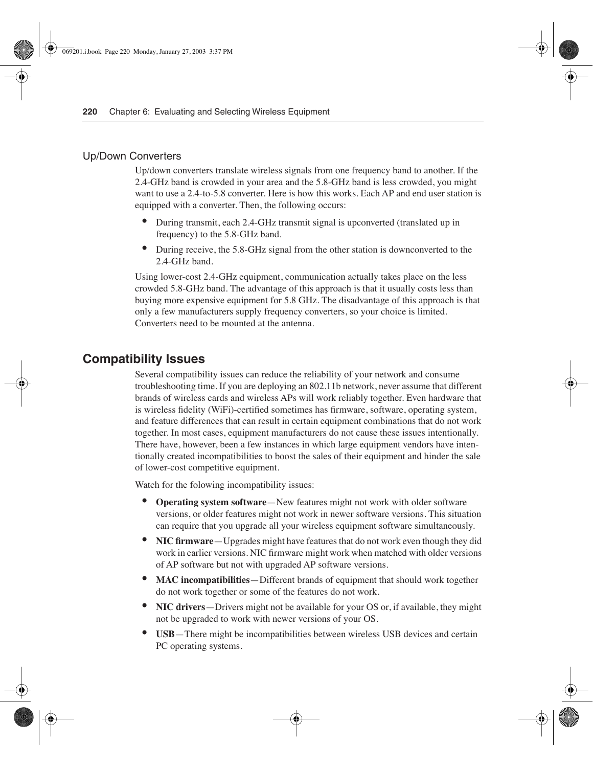#### Up/Down Converters

Up/down converters translate wireless signals from one frequency band to another. If the 2.4-GHz band is crowded in your area and the 5.8-GHz band is less crowded, you might want to use a 2.4-to-5.8 converter. Here is how this works. Each AP and end user station is equipped with a converter. Then, the following occurs:

- During transmit, each 2.4-GHz transmit signal is upconverted (translated up in frequency) to the 5.8-GHz band.
- During receive, the 5.8-GHz signal from the other station is downconverted to the 2.4-GHz band.

Using lower-cost 2.4-GHz equipment, communication actually takes place on the less crowded 5.8-GHz band. The advantage of this approach is that it usually costs less than buying more expensive equipment for 5.8 GHz. The disadvantage of this approach is that only a few manufacturers supply frequency converters, so your choice is limited. Converters need to be mounted at the antenna.

## **Compatibility Issues**

Several compatibility issues can reduce the reliability of your network and consume troubleshooting time. If you are deploying an 802.11b network, never assume that different brands of wireless cards and wireless APs will work reliably together. Even hardware that is wireless fidelity (WiFi)-certified sometimes has firmware, software, operating system, and feature differences that can result in certain equipment combinations that do not work together. In most cases, equipment manufacturers do not cause these issues intentionally. There have, however, been a few instances in which large equipment vendors have intentionally created incompatibilities to boost the sales of their equipment and hinder the sale of lower-cost competitive equipment.

Watch for the folowing incompatibility issues:

- **Operating system software—New features might not work with older software** versions, or older features might not work in newer software versions. This situation can require that you upgrade all your wireless equipment software simultaneously.
- **NIC firmware**—Upgrades might have features that do not work even though they did work in earlier versions. NIC firmware might work when matched with older versions of AP software but not with upgraded AP software versions.
- **MAC incompatibilities**—Different brands of equipment that should work together do not work together or some of the features do not work.
- **NIC drivers**—Drivers might not be available for your OS or, if available, they might not be upgraded to work with newer versions of your OS.
- **USB**—There might be incompatibilities between wireless USB devices and certain PC operating systems.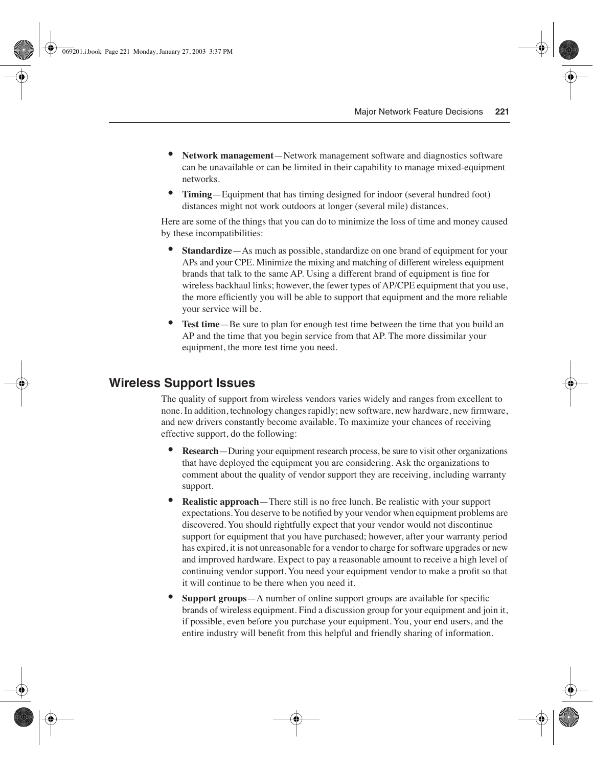- **Network management**—Network management software and diagnostics software can be unavailable or can be limited in their capability to manage mixed-equipment networks.
- **Timing**—Equipment that has timing designed for indoor (several hundred foot) distances might not work outdoors at longer (several mile) distances.

Here are some of the things that you can do to minimize the loss of time and money caused by these incompatibilities:

- **Standardize**—As much as possible, standardize on one brand of equipment for your APs and your CPE. Minimize the mixing and matching of different wireless equipment brands that talk to the same AP. Using a different brand of equipment is fine for wireless backhaul links; however, the fewer types of AP/CPE equipment that you use, the more efficiently you will be able to support that equipment and the more reliable your service will be.
- **Test time**—Be sure to plan for enough test time between the time that you build an AP and the time that you begin service from that AP. The more dissimilar your equipment, the more test time you need.

## **Wireless Support Issues**

The quality of support from wireless vendors varies widely and ranges from excellent to none. In addition, technology changes rapidly; new software, new hardware, new firmware, and new drivers constantly become available. To maximize your chances of receiving effective support, do the following:

- **Research**—During your equipment research process, be sure to visit other organizations that have deployed the equipment you are considering. Ask the organizations to comment about the quality of vendor support they are receiving, including warranty support.
- **Realistic approach**—There still is no free lunch. Be realistic with your support expectations. You deserve to be notified by your vendor when equipment problems are discovered. You should rightfully expect that your vendor would not discontinue support for equipment that you have purchased; however, after your warranty period has expired, it is not unreasonable for a vendor to charge for software upgrades or new and improved hardware. Expect to pay a reasonable amount to receive a high level of continuing vendor support. You need your equipment vendor to make a profit so that it will continue to be there when you need it.
- **Support groups**—A number of online support groups are available for specific brands of wireless equipment. Find a discussion group for your equipment and join it, if possible, even before you purchase your equipment. You, your end users, and the entire industry will benefit from this helpful and friendly sharing of information.